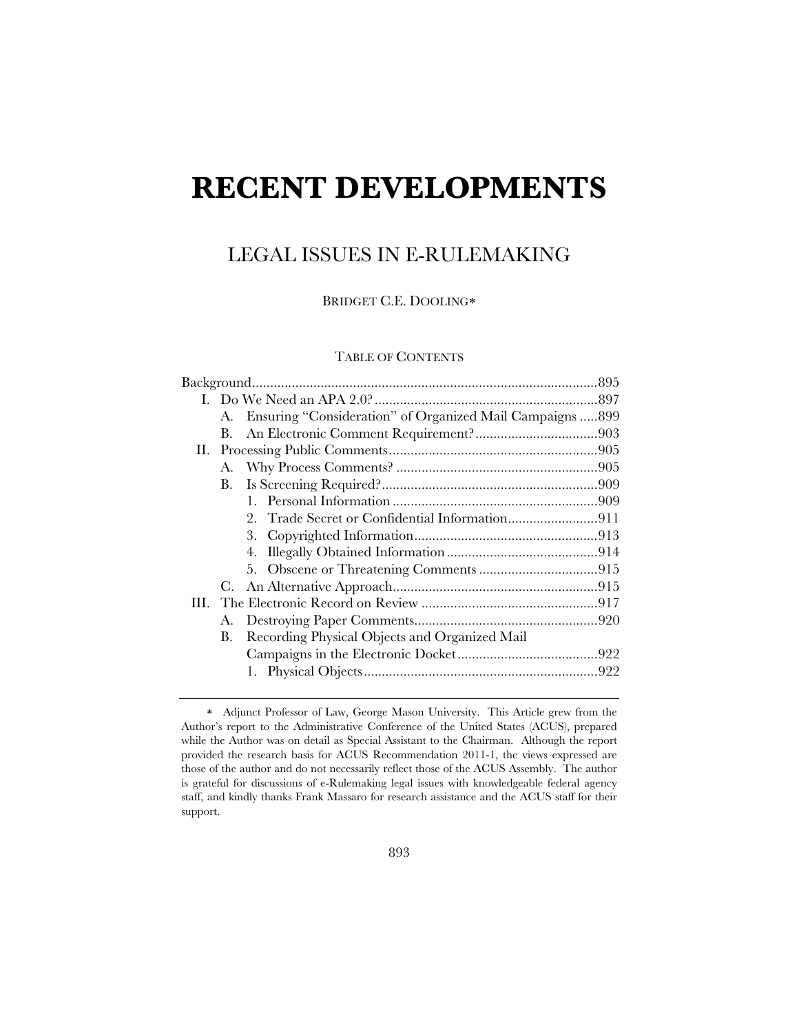# **RECENT DEVELOPMENTS**

# LEGAL ISSUES IN E-RULEMAKING

BRIDGET C.E. DOOLING

# TABLE OF CONTENTS

| A.      | Ensuring "Consideration" of Organized Mail Campaigns  899 |  |
|---------|-----------------------------------------------------------|--|
| $B_{-}$ |                                                           |  |
|         |                                                           |  |
|         |                                                           |  |
| В.      |                                                           |  |
|         |                                                           |  |
|         |                                                           |  |
|         |                                                           |  |
|         |                                                           |  |
|         |                                                           |  |
| C.      |                                                           |  |
|         |                                                           |  |
| А.      |                                                           |  |
| B.      | Recording Physical Objects and Organized Mail             |  |
|         |                                                           |  |
|         |                                                           |  |
|         |                                                           |  |

Adjunct Professor of Law, George Mason University. This Article grew from the Author's report to the Administrative Conference of the United States (ACUS), prepared while the Author was on detail as Special Assistant to the Chairman. Although the report provided the research basis for ACUS Recommendation 2011-1, the views expressed are those of the author and do not necessarily reflect those of the ACUS Assembly. The author is grateful for discussions of e-Rulemaking legal issues with knowledgeable federal agency staff, and kindly thanks Frank Massaro for research assistance and the ACUS staff for their support.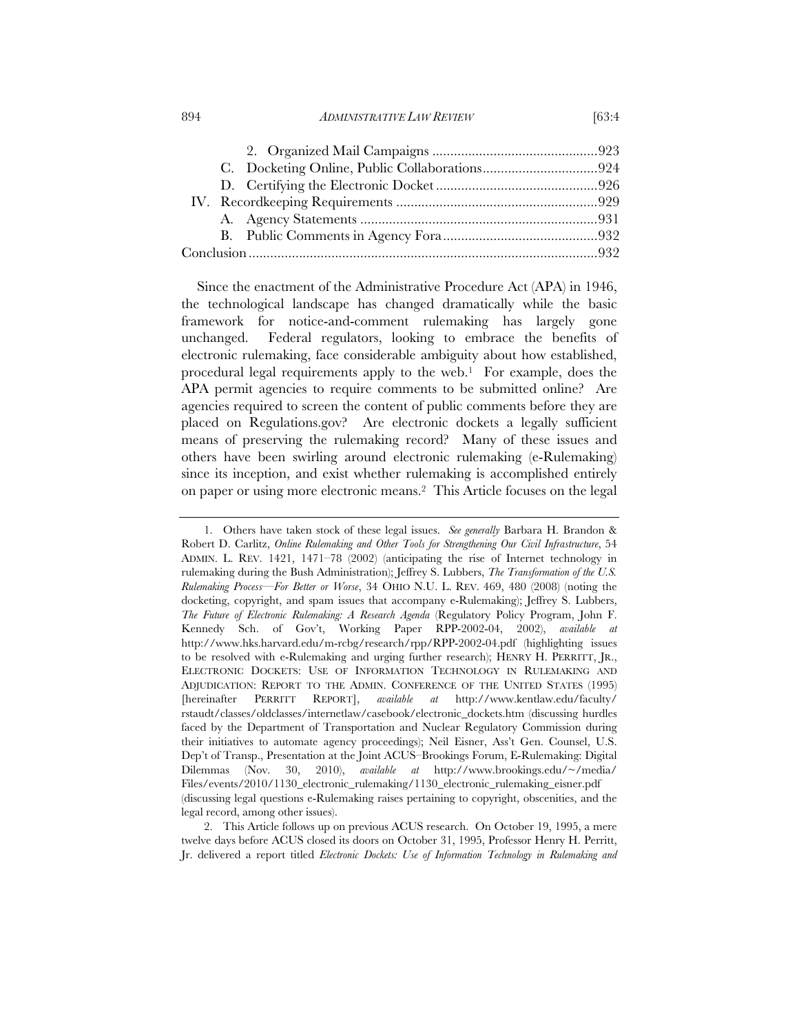#### 894 *ADMINISTRATIVE LAW REVIEW* [63:4

Since the enactment of the Administrative Procedure Act (APA) in 1946, the technological landscape has changed dramatically while the basic framework for notice-and-comment rulemaking has largely gone unchanged. Federal regulators, looking to embrace the benefits of electronic rulemaking, face considerable ambiguity about how established, procedural legal requirements apply to the web.1 For example, does the APA permit agencies to require comments to be submitted online? Are agencies required to screen the content of public comments before they are placed on Regulations.gov? Are electronic dockets a legally sufficient means of preserving the rulemaking record? Many of these issues and others have been swirling around electronic rulemaking (e-Rulemaking) since its inception, and exist whether rulemaking is accomplished entirely on paper or using more electronic means.2 This Article focuses on the legal

2. This Article follows up on previous ACUS research. On October 19, 1995, a mere twelve days before ACUS closed its doors on October 31, 1995, Professor Henry H. Perritt, Jr. delivered a report titled *Electronic Dockets: Use of Information Technology in Rulemaking and* 

<sup>1.</sup> Others have taken stock of these legal issues. *See generally* Barbara H. Brandon & Robert D. Carlitz, *Online Rulemaking and Other Tools for Strengthening Our Civil Infrastructure*, 54 ADMIN. L. REV. 1421, 1471–78 (2002) (anticipating the rise of Internet technology in rulemaking during the Bush Administration); Jeffrey S. Lubbers, *The Transformation of the U.S. Rulemaking Process—For Better or Worse*, 34 OHIO N.U. L. REV. 469, 480 (2008) (noting the docketing, copyright, and spam issues that accompany e-Rulemaking); Jeffrey S. Lubbers, *The Future of Electronic Rulemaking: A Research Agenda* (Regulatory Policy Program, John F. Kennedy Sch. of Gov't, Working Paper RPP-2002-04, 2002), *available at* http://www.hks.harvard.edu/m-rcbg/research/rpp/RPP-2002-04.pdf (highlighting issues to be resolved with e-Rulemaking and urging further research); HENRY H. PERRITT, JR., ELECTRONIC DOCKETS: USE OF INFORMATION TECHNOLOGY IN RULEMAKING AND ADJUDICATION: REPORT TO THE ADMIN. CONFERENCE OF THE UNITED STATES (1995) [hereinafter PERRITT REPORT], *available at* http://www.kentlaw.edu/faculty/ rstaudt/classes/oldclasses/internetlaw/casebook/electronic\_dockets.htm (discussing hurdles faced by the Department of Transportation and Nuclear Regulatory Commission during their initiatives to automate agency proceedings); Neil Eisner, Ass't Gen. Counsel, U.S. Dep't of Transp., Presentation at the Joint ACUS–Brookings Forum, E-Rulemaking: Digital Dilemmas (Nov. 30, 2010), *available at* http://www.brookings.edu/~/media/ Files/events/2010/1130\_electronic\_rulemaking/1130\_electronic\_rulemaking\_eisner.pdf (discussing legal questions e-Rulemaking raises pertaining to copyright, obscenities, and the legal record, among other issues).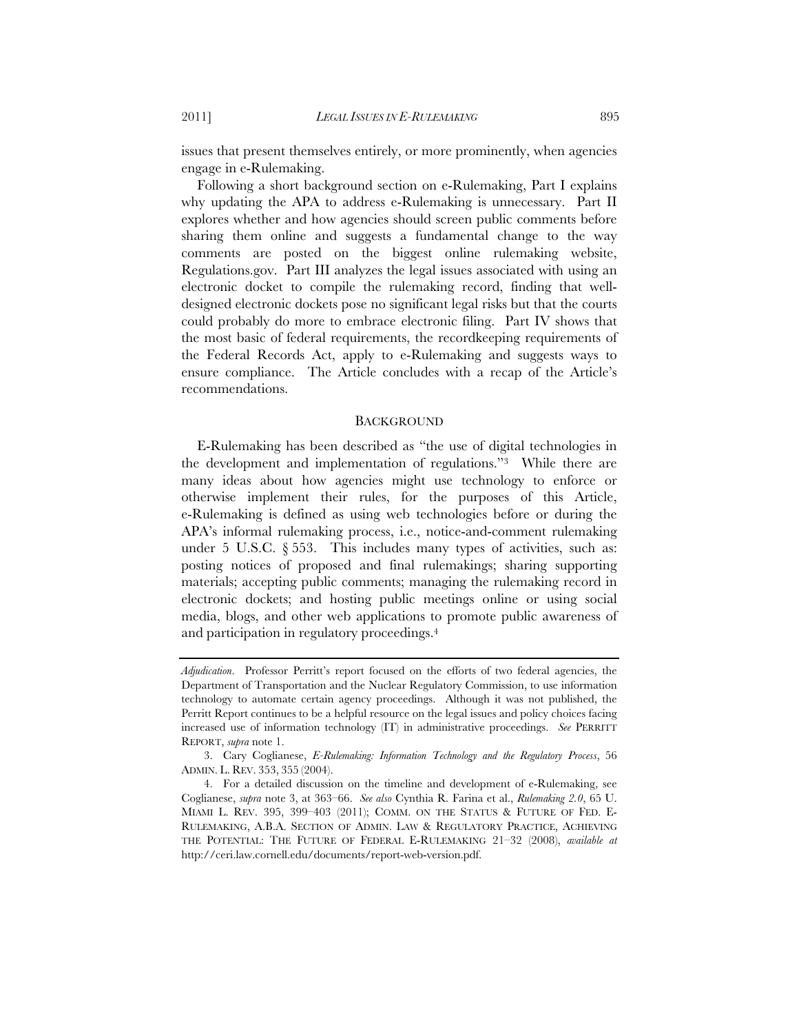issues that present themselves entirely, or more prominently, when agencies engage in e-Rulemaking.

Following a short background section on e-Rulemaking, Part I explains why updating the APA to address e-Rulemaking is unnecessary. Part II explores whether and how agencies should screen public comments before sharing them online and suggests a fundamental change to the way comments are posted on the biggest online rulemaking website, Regulations.gov. Part III analyzes the legal issues associated with using an electronic docket to compile the rulemaking record, finding that welldesigned electronic dockets pose no significant legal risks but that the courts could probably do more to embrace electronic filing. Part IV shows that the most basic of federal requirements, the recordkeeping requirements of the Federal Records Act, apply to e-Rulemaking and suggests ways to ensure compliance. The Article concludes with a recap of the Article's recommendations.

#### BACKGROUND

E-Rulemaking has been described as "the use of digital technologies in the development and implementation of regulations."3 While there are many ideas about how agencies might use technology to enforce or otherwise implement their rules, for the purposes of this Article, e-Rulemaking is defined as using web technologies before or during the APA's informal rulemaking process, i.e., notice-and-comment rulemaking under 5 U.S.C.  $\S 553$ . This includes many types of activities, such as: posting notices of proposed and final rulemakings; sharing supporting materials; accepting public comments; managing the rulemaking record in electronic dockets; and hosting public meetings online or using social media, blogs, and other web applications to promote public awareness of and participation in regulatory proceedings.4

*Adjudication*. Professor Perritt's report focused on the efforts of two federal agencies, the Department of Transportation and the Nuclear Regulatory Commission, to use information technology to automate certain agency proceedings. Although it was not published, the Perritt Report continues to be a helpful resource on the legal issues and policy choices facing increased use of information technology (IT) in administrative proceedings. *See* PERRITT REPORT, *supra* note 1.

<sup>3.</sup> Cary Coglianese, *E-Rulemaking: Information Technology and the Regulatory Process*, 56 ADMIN. L. REV. 353, 355 (2004).

<sup>4.</sup> For a detailed discussion on the timeline and development of e-Rulemaking, see Coglianese, *supra* note 3, at 363–66. *See also* Cynthia R. Farina et al., *Rulemaking 2.0*, 65 U. MIAMI L. REV. 395, 399–403 (2011); COMM. ON THE STATUS & FUTURE OF FED. E-RULEMAKING, A.B.A. SECTION OF ADMIN. LAW & REGULATORY PRACTICE, ACHIEVING THE POTENTIAL: THE FUTURE OF FEDERAL E-RULEMAKING 21–32 (2008), *available at* http://ceri.law.cornell.edu/documents/report-web-version.pdf.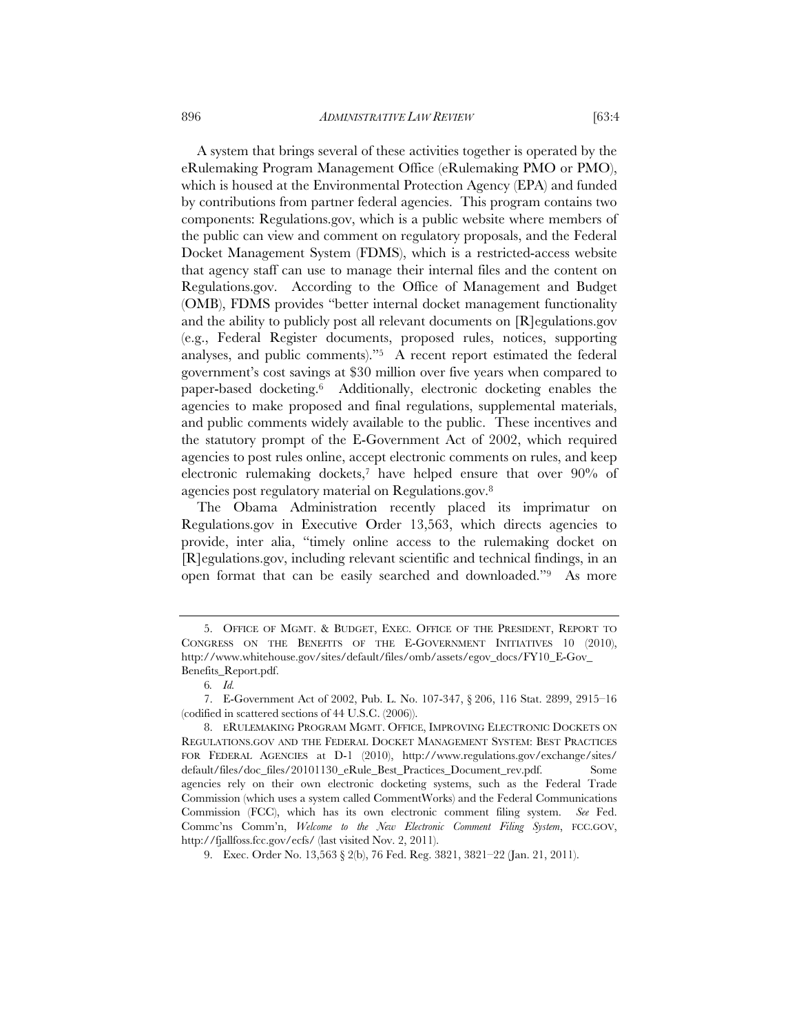A system that brings several of these activities together is operated by the eRulemaking Program Management Office (eRulemaking PMO or PMO), which is housed at the Environmental Protection Agency (EPA) and funded by contributions from partner federal agencies. This program contains two components: Regulations.gov, which is a public website where members of the public can view and comment on regulatory proposals, and the Federal Docket Management System (FDMS), which is a restricted-access website that agency staff can use to manage their internal files and the content on Regulations.gov. According to the Office of Management and Budget (OMB), FDMS provides "better internal docket management functionality and the ability to publicly post all relevant documents on [R]egulations.gov (e.g., Federal Register documents, proposed rules, notices, supporting analyses, and public comments)."5 A recent report estimated the federal government's cost savings at \$30 million over five years when compared to paper-based docketing.6 Additionally, electronic docketing enables the agencies to make proposed and final regulations, supplemental materials, and public comments widely available to the public. These incentives and the statutory prompt of the E-Government Act of 2002, which required agencies to post rules online, accept electronic comments on rules, and keep electronic rulemaking dockets,7 have helped ensure that over 90% of agencies post regulatory material on Regulations.gov.8

The Obama Administration recently placed its imprimatur on Regulations.gov in Executive Order 13,563, which directs agencies to provide, inter alia, "timely online access to the rulemaking docket on [R]egulations.gov, including relevant scientific and technical findings, in an open format that can be easily searched and downloaded."9 As more

<sup>5.</sup> OFFICE OF MGMT. & BUDGET, EXEC. OFFICE OF THE PRESIDENT, REPORT TO CONGRESS ON THE BENEFITS OF THE E-GOVERNMENT INITIATIVES 10 (2010), http://www.whitehouse.gov/sites/default/files/omb/assets/egov\_docs/FY10\_E-Gov\_ Benefits\_Report.pdf.

<sup>6</sup>*. Id.*

<sup>7.</sup> E-Government Act of 2002, Pub. L. No. 107-347, § 206, 116 Stat. 2899, 2915–16 (codified in scattered sections of 44 U.S.C. (2006)).

<sup>8.</sup> ERULEMAKING PROGRAM MGMT. OFFICE, IMPROVING ELECTRONIC DOCKETS ON REGULATIONS.GOV AND THE FEDERAL DOCKET MANAGEMENT SYSTEM: BEST PRACTICES FOR FEDERAL AGENCIES at D-1 (2010), http://www.regulations.gov/exchange/sites/ default/files/doc\_files/20101130\_eRule\_Best\_Practices\_Document\_rev.pdf. Some agencies rely on their own electronic docketing systems, such as the Federal Trade Commission (which uses a system called CommentWorks) and the Federal Communications Commission (FCC), which has its own electronic comment filing system. *See* Fed. Commc'ns Comm'n, *Welcome to the New Electronic Comment Filing System*, FCC.GOV, http://fjallfoss.fcc.gov/ecfs/ (last visited Nov. 2, 2011).

<sup>9.</sup> Exec. Order No. 13,563 § 2(b), 76 Fed. Reg. 3821, 3821–22 (Jan. 21, 2011).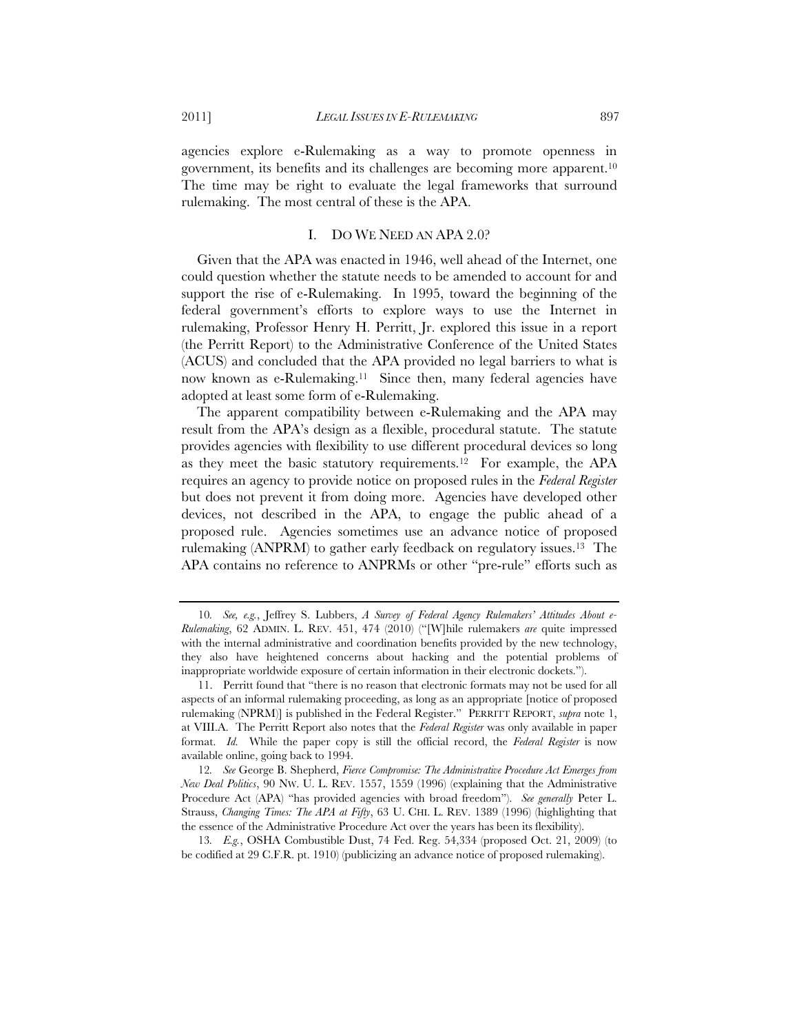agencies explore e-Rulemaking as a way to promote openness in government, its benefits and its challenges are becoming more apparent.10 The time may be right to evaluate the legal frameworks that surround rulemaking. The most central of these is the APA.

#### I. DO WE NEED AN APA 2.0?

Given that the APA was enacted in 1946, well ahead of the Internet, one could question whether the statute needs to be amended to account for and support the rise of e-Rulemaking. In 1995, toward the beginning of the federal government's efforts to explore ways to use the Internet in rulemaking, Professor Henry H. Perritt, Jr. explored this issue in a report (the Perritt Report) to the Administrative Conference of the United States (ACUS) and concluded that the APA provided no legal barriers to what is now known as e-Rulemaking.<sup>11</sup> Since then, many federal agencies have adopted at least some form of e-Rulemaking.

The apparent compatibility between e-Rulemaking and the APA may result from the APA's design as a flexible, procedural statute. The statute provides agencies with flexibility to use different procedural devices so long as they meet the basic statutory requirements.12 For example, the APA requires an agency to provide notice on proposed rules in the *Federal Register* but does not prevent it from doing more. Agencies have developed other devices, not described in the APA, to engage the public ahead of a proposed rule. Agencies sometimes use an advance notice of proposed rulemaking (ANPRM) to gather early feedback on regulatory issues.13 The APA contains no reference to ANPRMs or other "pre-rule" efforts such as

13*. E.g.*, OSHA Combustible Dust, 74 Fed. Reg. 54,334 (proposed Oct. 21, 2009) (to be codified at 29 C.F.R. pt. 1910) (publicizing an advance notice of proposed rulemaking).

<sup>10</sup>*. See, e.g.*, Jeffrey S. Lubbers, *A Survey of Federal Agency Rulemakers' Attitudes About e-Rulemaking*, 62 ADMIN. L. REV. 451, 474 (2010) ("[W]hile rulemakers *are* quite impressed with the internal administrative and coordination benefits provided by the new technology, they also have heightened concerns about hacking and the potential problems of inappropriate worldwide exposure of certain information in their electronic dockets.").

<sup>11.</sup> Perritt found that "there is no reason that electronic formats may not be used for all aspects of an informal rulemaking proceeding, as long as an appropriate [notice of proposed rulemaking (NPRM)] is published in the Federal Register." PERRITT REPORT, *supra* note 1, at VIII.A. The Perritt Report also notes that the *Federal Register* was only available in paper format. *Id.* While the paper copy is still the official record, the *Federal Register* is now available online, going back to 1994.

<sup>12</sup>*. See* George B. Shepherd, *Fierce Compromise: The Administrative Procedure Act Emerges from New Deal Politics*, 90 NW. U. L. REV. 1557, 1559 (1996) (explaining that the Administrative Procedure Act (APA) "has provided agencies with broad freedom"). *See generally* Peter L. Strauss, *Changing Times: The APA at Fifty*, 63 U. CHI. L. REV. 1389 (1996) (highlighting that the essence of the Administrative Procedure Act over the years has been its flexibility).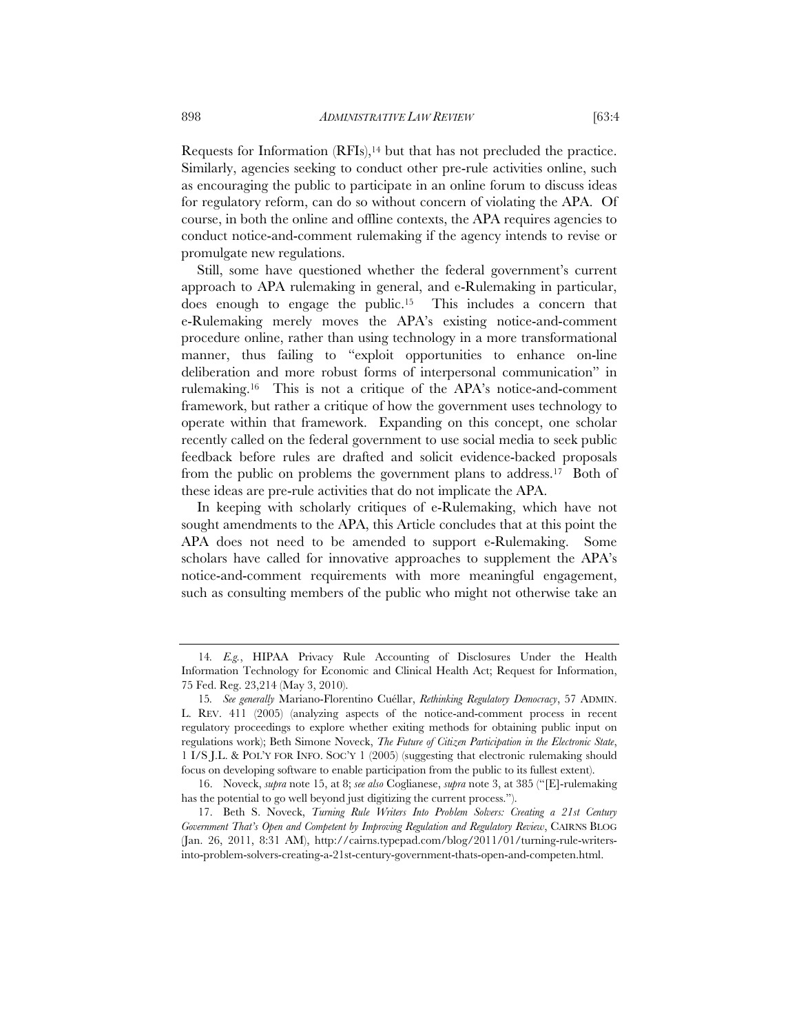Requests for Information  $(RFI<sub>s</sub>)<sup>14</sup>$  but that has not precluded the practice. Similarly, agencies seeking to conduct other pre-rule activities online, such as encouraging the public to participate in an online forum to discuss ideas for regulatory reform, can do so without concern of violating the APA. Of course, in both the online and offline contexts, the APA requires agencies to conduct notice-and-comment rulemaking if the agency intends to revise or promulgate new regulations.

Still, some have questioned whether the federal government's current approach to APA rulemaking in general, and e-Rulemaking in particular, does enough to engage the public.15 This includes a concern that e-Rulemaking merely moves the APA's existing notice-and-comment procedure online, rather than using technology in a more transformational manner, thus failing to "exploit opportunities to enhance on-line deliberation and more robust forms of interpersonal communication" in rulemaking.16 This is not a critique of the APA's notice-and-comment framework, but rather a critique of how the government uses technology to operate within that framework. Expanding on this concept, one scholar recently called on the federal government to use social media to seek public feedback before rules are drafted and solicit evidence-backed proposals from the public on problems the government plans to address.17 Both of these ideas are pre-rule activities that do not implicate the APA.

In keeping with scholarly critiques of e-Rulemaking, which have not sought amendments to the APA, this Article concludes that at this point the APA does not need to be amended to support e-Rulemaking. Some scholars have called for innovative approaches to supplement the APA's notice-and-comment requirements with more meaningful engagement, such as consulting members of the public who might not otherwise take an

<sup>14</sup>*. E.g.*, HIPAA Privacy Rule Accounting of Disclosures Under the Health Information Technology for Economic and Clinical Health Act; Request for Information, 75 Fed. Reg. 23,214 (May 3, 2010).

<sup>15</sup>*. See generally* Mariano-Florentino Cuéllar, *Rethinking Regulatory Democracy*, 57 ADMIN. L. REV. 411 (2005) (analyzing aspects of the notice-and-comment process in recent regulatory proceedings to explore whether exiting methods for obtaining public input on regulations work); Beth Simone Noveck, *The Future of Citizen Participation in the Electronic State*, 1 I/S J.L. & POL'Y FOR INFO. SOC'Y 1 (2005) (suggesting that electronic rulemaking should focus on developing software to enable participation from the public to its fullest extent).

<sup>16.</sup> Noveck, *supra* note 15, at 8; *see also* Coglianese, *supra* note 3, at 385 ("[E]-rulemaking has the potential to go well beyond just digitizing the current process.").

<sup>17.</sup> Beth S. Noveck, *Turning Rule Writers Into Problem Solvers: Creating a 21st Century Government That's Open and Competent by Improving Regulation and Regulatory Review*, CAIRNS BLOG (Jan. 26, 2011, 8:31 AM), http://cairns.typepad.com/blog/2011/01/turning-rule-writersinto-problem-solvers-creating-a-21st-century-government-thats-open-and-competen.html.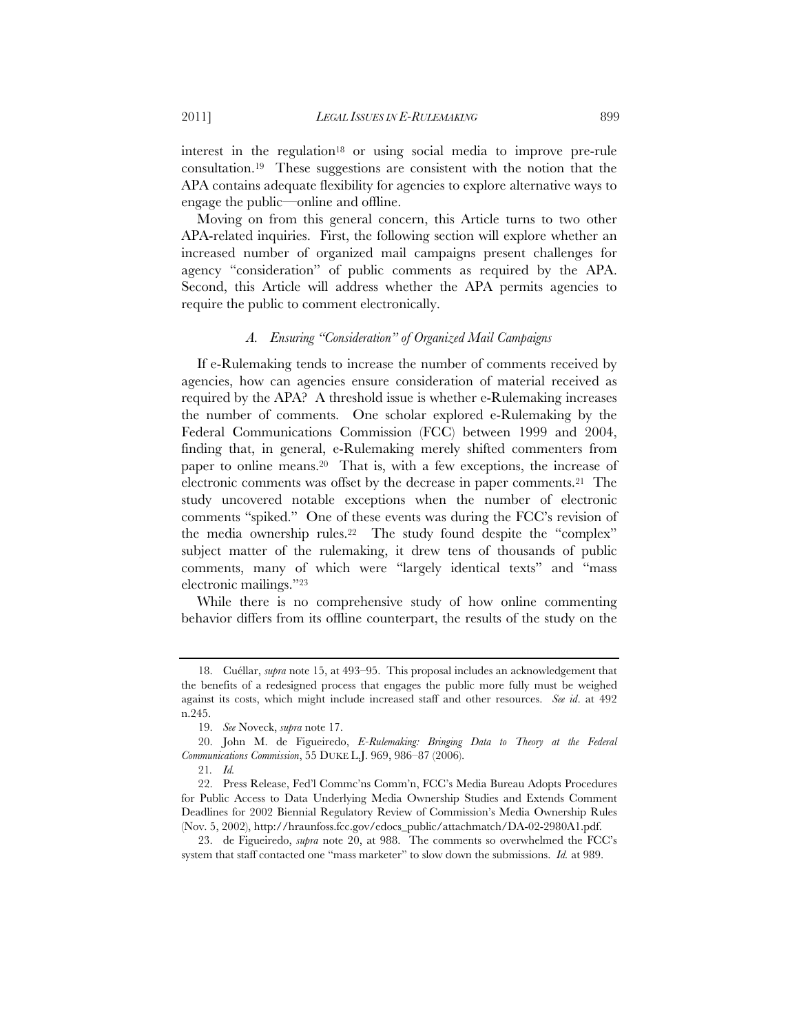interest in the regulation<sup>18</sup> or using social media to improve pre-rule consultation.19 These suggestions are consistent with the notion that the APA contains adequate flexibility for agencies to explore alternative ways to engage the public—online and offline.

Moving on from this general concern, this Article turns to two other APA-related inquiries. First, the following section will explore whether an increased number of organized mail campaigns present challenges for agency "consideration" of public comments as required by the APA. Second, this Article will address whether the APA permits agencies to require the public to comment electronically.

# *A. Ensuring "Consideration" of Organized Mail Campaigns*

If e-Rulemaking tends to increase the number of comments received by agencies, how can agencies ensure consideration of material received as required by the APA? A threshold issue is whether e-Rulemaking increases the number of comments. One scholar explored e-Rulemaking by the Federal Communications Commission (FCC) between 1999 and 2004, finding that, in general, e-Rulemaking merely shifted commenters from paper to online means.20 That is, with a few exceptions, the increase of electronic comments was offset by the decrease in paper comments.21 The study uncovered notable exceptions when the number of electronic comments "spiked." One of these events was during the FCC's revision of the media ownership rules.22 The study found despite the "complex" subject matter of the rulemaking, it drew tens of thousands of public comments, many of which were "largely identical texts" and "mass electronic mailings."23

While there is no comprehensive study of how online commenting behavior differs from its offline counterpart, the results of the study on the

<sup>18.</sup> Cuéllar, *supra* note 15, at 493–95. This proposal includes an acknowledgement that the benefits of a redesigned process that engages the public more fully must be weighed against its costs, which might include increased staff and other resources. *See id*. at 492 n.245.

<sup>19.</sup> *See* Noveck, *supra* note 17.

<sup>20.</sup> John M. de Figueiredo, *E-Rulemaking: Bringing Data to Theory at the Federal Communications Commission*, 55 DUKE L.J. 969, 986–87 (2006).

<sup>21</sup>*. Id.*

<sup>22.</sup> Press Release, Fed'l Commc'ns Comm'n, FCC's Media Bureau Adopts Procedures for Public Access to Data Underlying Media Ownership Studies and Extends Comment Deadlines for 2002 Biennial Regulatory Review of Commission's Media Ownership Rules (Nov. 5, 2002), http://hraunfoss.fcc.gov/edocs\_public/attachmatch/DA-02-2980A1.pdf.

<sup>23.</sup> de Figueiredo, *supra* note 20, at 988. The comments so overwhelmed the FCC's system that staff contacted one "mass marketer" to slow down the submissions. *Id.* at 989.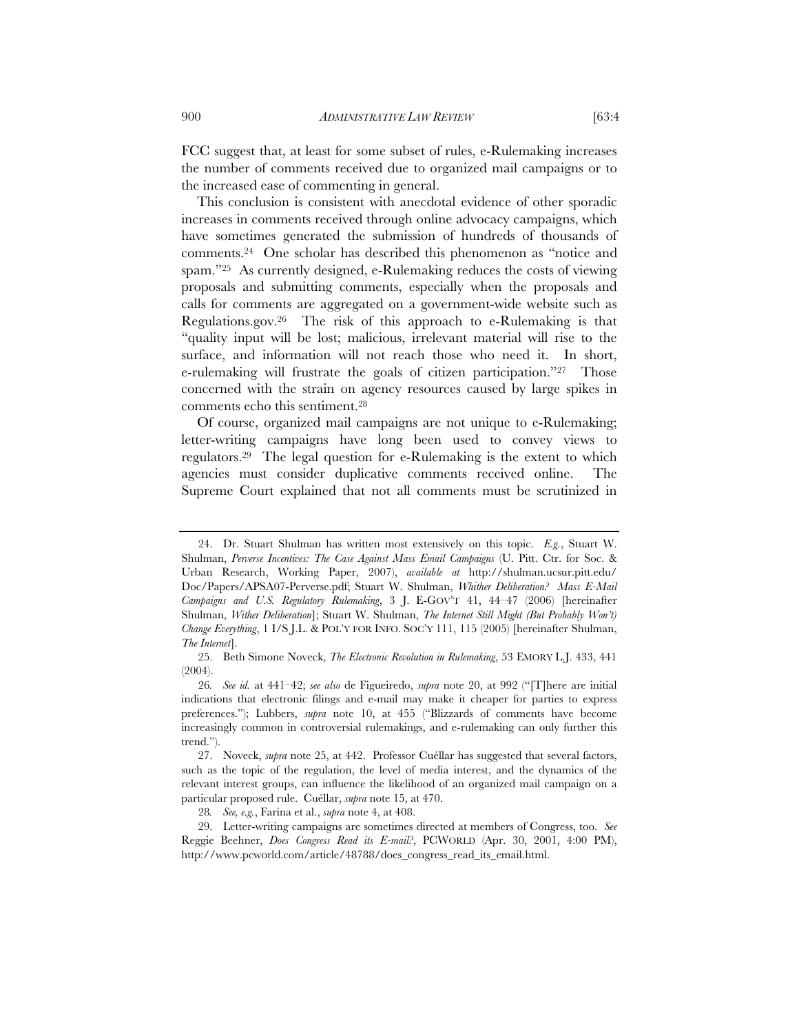FCC suggest that, at least for some subset of rules, e-Rulemaking increases the number of comments received due to organized mail campaigns or to

the increased ease of commenting in general. This conclusion is consistent with anecdotal evidence of other sporadic increases in comments received through online advocacy campaigns, which have sometimes generated the submission of hundreds of thousands of comments.24 One scholar has described this phenomenon as "notice and spam."<sup>25</sup> As currently designed, e-Rulemaking reduces the costs of viewing proposals and submitting comments, especially when the proposals and calls for comments are aggregated on a government-wide website such as Regulations.gov.26 The risk of this approach to e-Rulemaking is that "quality input will be lost; malicious, irrelevant material will rise to the surface, and information will not reach those who need it. In short, e-rulemaking will frustrate the goals of citizen participation."27 Those concerned with the strain on agency resources caused by large spikes in comments echo this sentiment.28

Of course, organized mail campaigns are not unique to e-Rulemaking; letter-writing campaigns have long been used to convey views to regulators.29 The legal question for e-Rulemaking is the extent to which agencies must consider duplicative comments received online. The Supreme Court explained that not all comments must be scrutinized in

<sup>24.</sup> Dr. Stuart Shulman has written most extensively on this topic. *E.g.*, Stuart W. Shulman, *Perverse Incentives: The Case Against Mass Email Campaigns* (U. Pitt. Ctr. for Soc. & Urban Research, Working Paper, 2007), *available at* http://shulman.ucsur.pitt.edu/ Doc/Papers/APSA07-Perverse.pdf; Stuart W. Shulman, *Whither Deliberation? Mass E-Mail Campaigns and U.S. Regulatory Rulemaking*, 3 J. E-GOV'T 41, 44–47 (2006) [hereinafter Shulman, *Wither Deliberation*]; Stuart W. Shulman, *The Internet Still Might (But Probably Won't) Change Everything*, 1 I/S J.L. & POL'Y FOR INFO. SOC'Y 111, 115 (2005) [hereinafter Shulman, *The Internet*].

<sup>25.</sup> Beth Simone Noveck, *The Electronic Revolution in Rulemaking*, 53 EMORY L.J. 433, 441 (2004).

<sup>26</sup>*. See id.* at 441–42; *see also* de Figueiredo, *supra* note 20, at 992 ("[T]here are initial indications that electronic filings and e-mail may make it cheaper for parties to express preferences."); Lubbers, *supra* note 10, at 455 ("Blizzards of comments have become increasingly common in controversial rulemakings, and e-rulemaking can only further this trend.").

<sup>27.</sup> Noveck, *supra* note 25, at 442. Professor Cuéllar has suggested that several factors, such as the topic of the regulation, the level of media interest, and the dynamics of the relevant interest groups, can influence the likelihood of an organized mail campaign on a particular proposed rule. Cuéllar, *supra* note 15, at 470.

<sup>28</sup>*. See, e.g.*, Farina et al., *supra* note 4, at 408.

<sup>29.</sup> Letter-writing campaigns are sometimes directed at members of Congress, too. *See* Reggie Beehner, *Does Congress Read its E-mail?*, PCWORLD (Apr. 30, 2001, 4:00 PM), http://www.pcworld.com/article/48788/does\_congress\_read\_its\_email.html.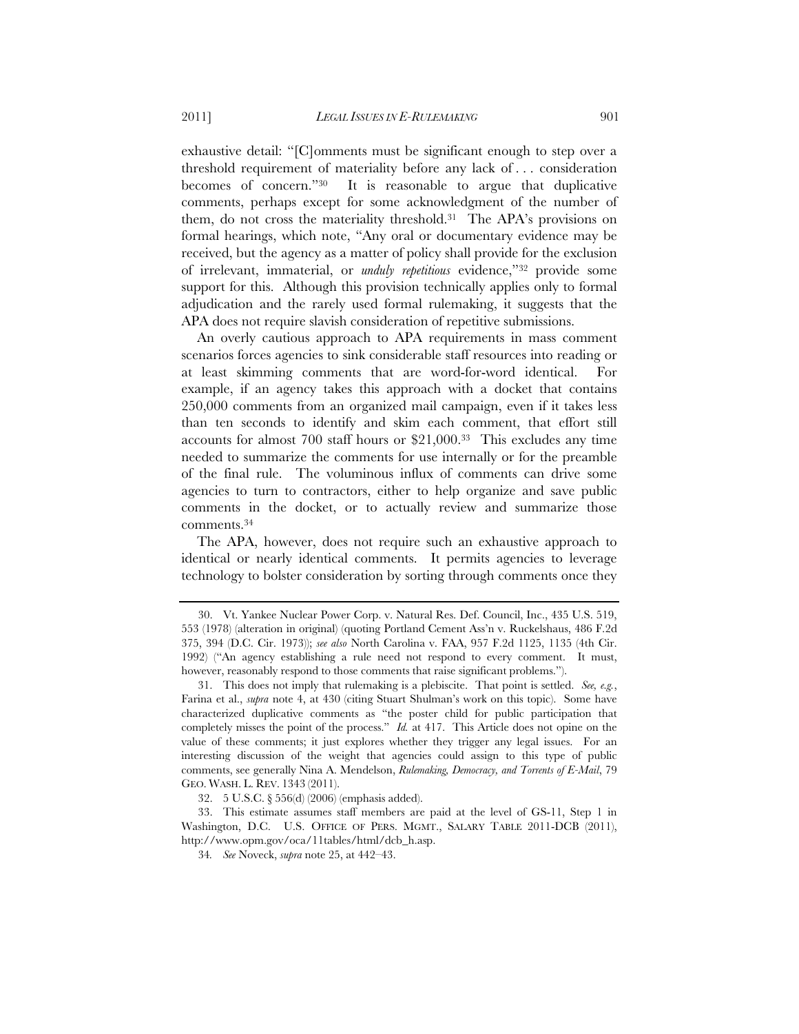exhaustive detail: "[C]omments must be significant enough to step over a threshold requirement of materiality before any lack of . . . consideration becomes of concern."30 It is reasonable to argue that duplicative comments, perhaps except for some acknowledgment of the number of them, do not cross the materiality threshold.31 The APA's provisions on formal hearings, which note, "Any oral or documentary evidence may be received, but the agency as a matter of policy shall provide for the exclusion of irrelevant, immaterial, or *unduly repetitious* evidence,"32 provide some support for this. Although this provision technically applies only to formal adjudication and the rarely used formal rulemaking, it suggests that the APA does not require slavish consideration of repetitive submissions.

An overly cautious approach to APA requirements in mass comment scenarios forces agencies to sink considerable staff resources into reading or at least skimming comments that are word-for-word identical. For example, if an agency takes this approach with a docket that contains 250,000 comments from an organized mail campaign, even if it takes less than ten seconds to identify and skim each comment, that effort still accounts for almost 700 staff hours or \$21,000.33 This excludes any time needed to summarize the comments for use internally or for the preamble of the final rule. The voluminous influx of comments can drive some agencies to turn to contractors, either to help organize and save public comments in the docket, or to actually review and summarize those comments.34

The APA, however, does not require such an exhaustive approach to identical or nearly identical comments. It permits agencies to leverage technology to bolster consideration by sorting through comments once they

<sup>30.</sup> Vt. Yankee Nuclear Power Corp. v. Natural Res. Def. Council, Inc., 435 U.S. 519, 553 (1978) (alteration in original) (quoting Portland Cement Ass'n v. Ruckelshaus, 486 F.2d 375, 394 (D.C. Cir. 1973)); *see also* North Carolina v. FAA, 957 F.2d 1125, 1135 (4th Cir. 1992) ("An agency establishing a rule need not respond to every comment. It must, however, reasonably respond to those comments that raise significant problems.").

<sup>31.</sup> This does not imply that rulemaking is a plebiscite. That point is settled. *See, e.g.*, Farina et al., *supra* note 4, at 430 (citing Stuart Shulman's work on this topic). Some have characterized duplicative comments as "the poster child for public participation that completely misses the point of the process." *Id.* at 417. This Article does not opine on the value of these comments; it just explores whether they trigger any legal issues. For an interesting discussion of the weight that agencies could assign to this type of public comments, see generally Nina A. Mendelson, *Rulemaking, Democracy, and Torrents of E-Mail*, 79 GEO. WASH. L. REV. 1343 (2011).

<sup>32. 5</sup> U.S.C. § 556(d) (2006) (emphasis added).

<sup>33.</sup> This estimate assumes staff members are paid at the level of GS-11, Step 1 in Washington, D.C. U.S. OFFICE OF PERS. MGMT., SALARY TABLE 2011-DCB (2011), http://www.opm.gov/oca/11tables/html/dcb\_h.asp.

<sup>34</sup>*. See* Noveck, *supra* note 25, at 442–43.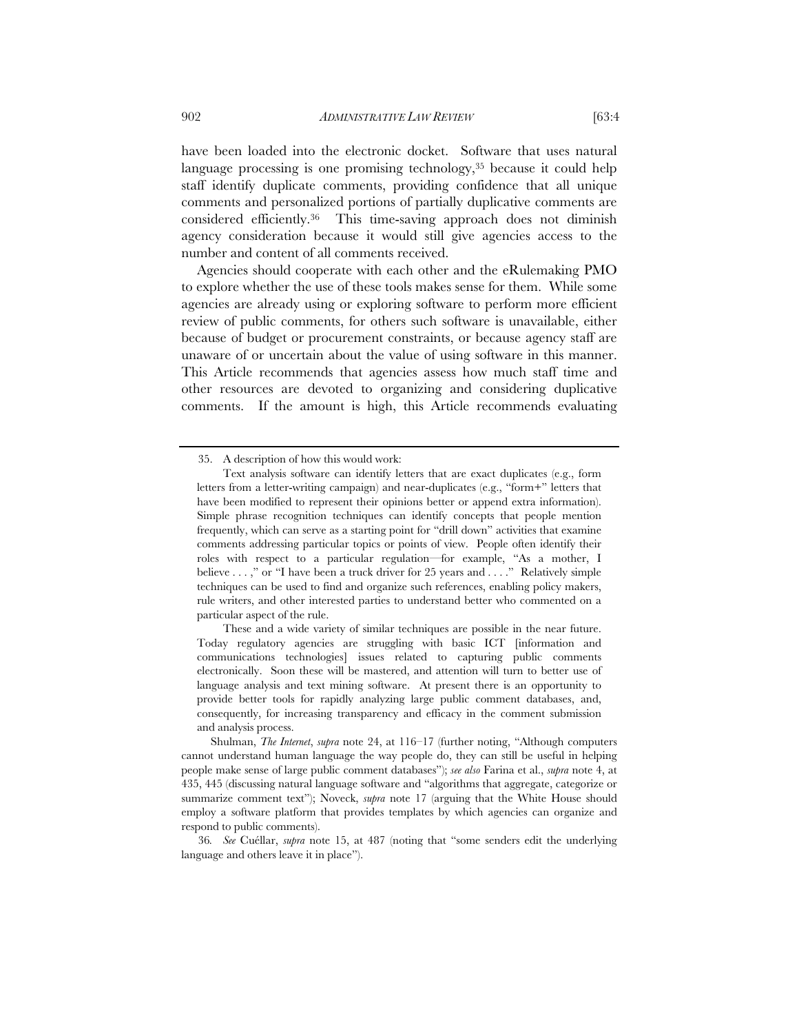have been loaded into the electronic docket. Software that uses natural language processing is one promising technology,<sup>35</sup> because it could help staff identify duplicate comments, providing confidence that all unique comments and personalized portions of partially duplicative comments are considered efficiently.36 This time-saving approach does not diminish agency consideration because it would still give agencies access to the number and content of all comments received.

Agencies should cooperate with each other and the eRulemaking PMO to explore whether the use of these tools makes sense for them. While some agencies are already using or exploring software to perform more efficient review of public comments, for others such software is unavailable, either because of budget or procurement constraints, or because agency staff are unaware of or uncertain about the value of using software in this manner. This Article recommends that agencies assess how much staff time and other resources are devoted to organizing and considering duplicative comments. If the amount is high, this Article recommends evaluating

 These and a wide variety of similar techniques are possible in the near future. Today regulatory agencies are struggling with basic ICT [information and communications technologies] issues related to capturing public comments electronically. Soon these will be mastered, and attention will turn to better use of language analysis and text mining software. At present there is an opportunity to provide better tools for rapidly analyzing large public comment databases, and, consequently, for increasing transparency and efficacy in the comment submission and analysis process.

<sup>35.</sup> A description of how this would work:

Text analysis software can identify letters that are exact duplicates (e.g., form letters from a letter-writing campaign) and near-duplicates (e.g., "form+" letters that have been modified to represent their opinions better or append extra information). Simple phrase recognition techniques can identify concepts that people mention frequently, which can serve as a starting point for "drill down" activities that examine comments addressing particular topics or points of view. People often identify their roles with respect to a particular regulation—for example, "As a mother, I believe . . . ," or "I have been a truck driver for 25 years and . . . ." Relatively simple techniques can be used to find and organize such references, enabling policy makers, rule writers, and other interested parties to understand better who commented on a particular aspect of the rule.

Shulman, *The Internet*, *supra* note 24, at 116–17 (further noting, "Although computers cannot understand human language the way people do, they can still be useful in helping people make sense of large public comment databases"); *see also* Farina et al., *supra* note 4, at 435, 445 (discussing natural language software and "algorithms that aggregate, categorize or summarize comment text"); Noveck, *supra* note 17 (arguing that the White House should employ a software platform that provides templates by which agencies can organize and respond to public comments).

<sup>36</sup>*. See* Cuéllar, *supra* note 15, at 487 (noting that "some senders edit the underlying language and others leave it in place").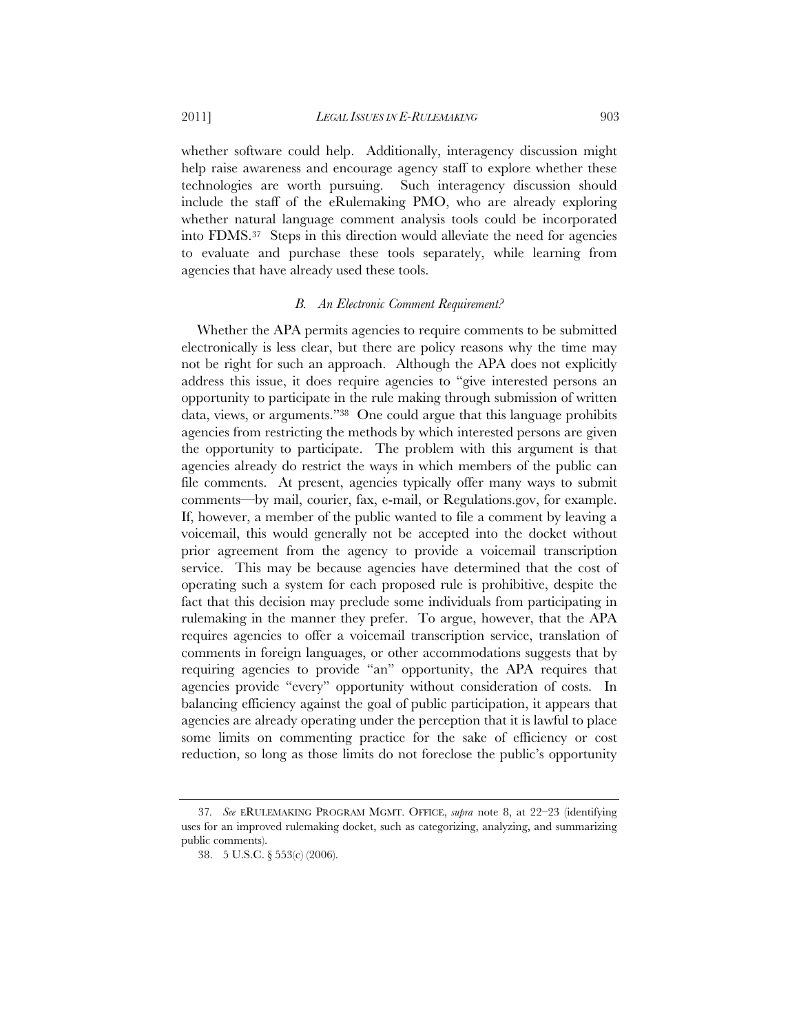whether software could help. Additionally, interagency discussion might help raise awareness and encourage agency staff to explore whether these technologies are worth pursuing. Such interagency discussion should include the staff of the eRulemaking PMO, who are already exploring whether natural language comment analysis tools could be incorporated into FDMS.37 Steps in this direction would alleviate the need for agencies to evaluate and purchase these tools separately, while learning from agencies that have already used these tools.

# *B. An Electronic Comment Requirement?*

Whether the APA permits agencies to require comments to be submitted electronically is less clear, but there are policy reasons why the time may not be right for such an approach. Although the APA does not explicitly address this issue, it does require agencies to "give interested persons an opportunity to participate in the rule making through submission of written data, views, or arguments."38 One could argue that this language prohibits agencies from restricting the methods by which interested persons are given the opportunity to participate. The problem with this argument is that agencies already do restrict the ways in which members of the public can file comments. At present, agencies typically offer many ways to submit comments—by mail, courier, fax, e-mail, or Regulations.gov, for example. If, however, a member of the public wanted to file a comment by leaving a voicemail, this would generally not be accepted into the docket without prior agreement from the agency to provide a voicemail transcription service. This may be because agencies have determined that the cost of operating such a system for each proposed rule is prohibitive, despite the fact that this decision may preclude some individuals from participating in rulemaking in the manner they prefer. To argue, however, that the APA requires agencies to offer a voicemail transcription service, translation of comments in foreign languages, or other accommodations suggests that by requiring agencies to provide "an" opportunity, the APA requires that agencies provide "every" opportunity without consideration of costs. In balancing efficiency against the goal of public participation, it appears that agencies are already operating under the perception that it is lawful to place some limits on commenting practice for the sake of efficiency or cost reduction, so long as those limits do not foreclose the public's opportunity

<sup>37</sup>*. See* ERULEMAKING PROGRAM MGMT. OFFICE, *supra* note 8, at 22–23 (identifying uses for an improved rulemaking docket, such as categorizing, analyzing, and summarizing public comments).

<sup>38. 5</sup> U.S.C. § 553(c) (2006).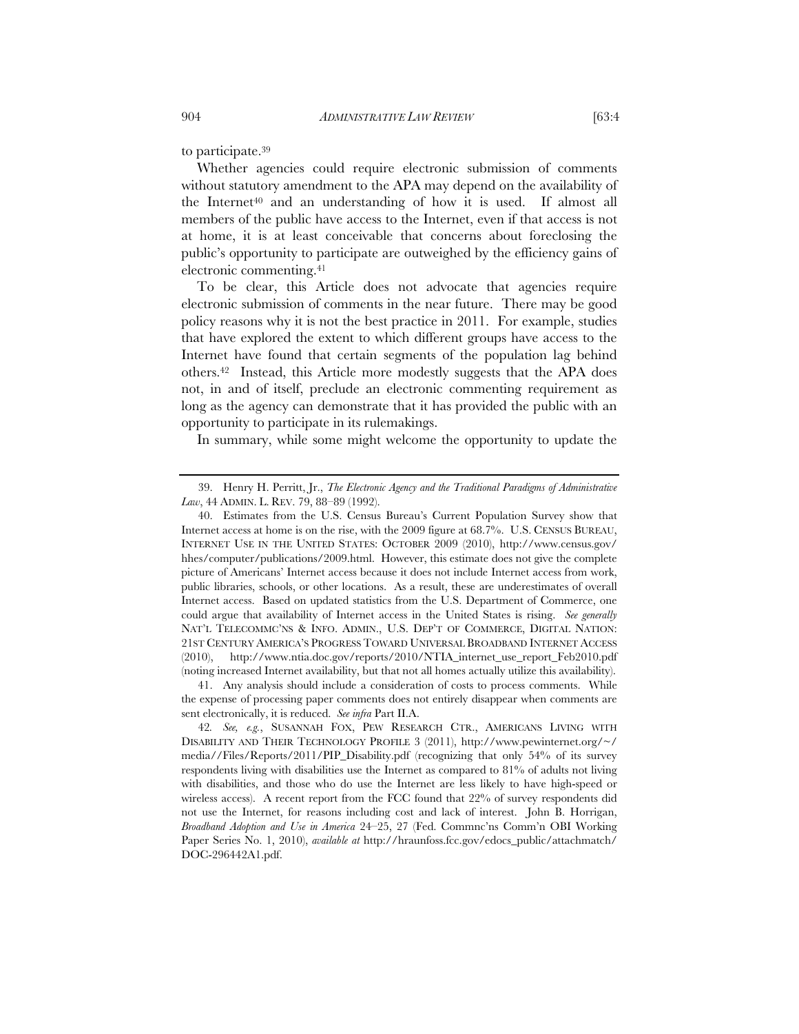to participate.39

Whether agencies could require electronic submission of comments without statutory amendment to the APA may depend on the availability of the Internet<sup>40</sup> and an understanding of how it is used. If almost all members of the public have access to the Internet, even if that access is not at home, it is at least conceivable that concerns about foreclosing the public's opportunity to participate are outweighed by the efficiency gains of electronic commenting.41

To be clear, this Article does not advocate that agencies require electronic submission of comments in the near future. There may be good policy reasons why it is not the best practice in 2011. For example, studies that have explored the extent to which different groups have access to the Internet have found that certain segments of the population lag behind others.42 Instead, this Article more modestly suggests that the APA does not, in and of itself, preclude an electronic commenting requirement as long as the agency can demonstrate that it has provided the public with an opportunity to participate in its rulemakings.

In summary, while some might welcome the opportunity to update the

41. Any analysis should include a consideration of costs to process comments. While the expense of processing paper comments does not entirely disappear when comments are sent electronically, it is reduced. *See infra* Part II.A.

<sup>39.</sup> Henry H. Perritt, Jr., *The Electronic Agency and the Traditional Paradigms of Administrative Law*, 44 ADMIN. L. REV. 79, 88–89 (1992).

<sup>40.</sup> Estimates from the U.S. Census Bureau's Current Population Survey show that Internet access at home is on the rise, with the 2009 figure at 68.7%. U.S. CENSUS BUREAU, INTERNET USE IN THE UNITED STATES: OCTOBER 2009 (2010), http://www.census.gov/ hhes/computer/publications/2009.html. However, this estimate does not give the complete picture of Americans' Internet access because it does not include Internet access from work, public libraries, schools, or other locations. As a result, these are underestimates of overall Internet access. Based on updated statistics from the U.S. Department of Commerce, one could argue that availability of Internet access in the United States is rising. *See generally* NAT'L TELECOMMC'NS & INFO. ADMIN., U.S. DEP'T OF COMMERCE, DIGITAL NATION: 21ST CENTURY AMERICA'S PROGRESS TOWARD UNIVERSAL BROADBAND INTERNET ACCESS (2010), http://www.ntia.doc.gov/reports/2010/NTIA\_internet\_use\_report\_Feb2010.pdf (noting increased Internet availability, but that not all homes actually utilize this availability).

<sup>42</sup>*. See, e.g.*, SUSANNAH FOX, PEW RESEARCH CTR., AMERICANS LIVING WITH DISABILITY AND THEIR TECHNOLOGY PROFILE 3 (2011), http://www.pewinternet.org/~/ media//Files/Reports/2011/PIP\_Disability.pdf (recognizing that only 54% of its survey respondents living with disabilities use the Internet as compared to 81% of adults not living with disabilities, and those who do use the Internet are less likely to have high-speed or wireless access). A recent report from the FCC found that 22% of survey respondents did not use the Internet, for reasons including cost and lack of interest. John B. Horrigan, *Broadband Adoption and Use in America* 24–25, 27 (Fed. Commnc'ns Comm'n OBI Working Paper Series No. 1, 2010), *available at* http://hraunfoss.fcc.gov/edocs\_public/attachmatch/ DOC-296442A1.pdf.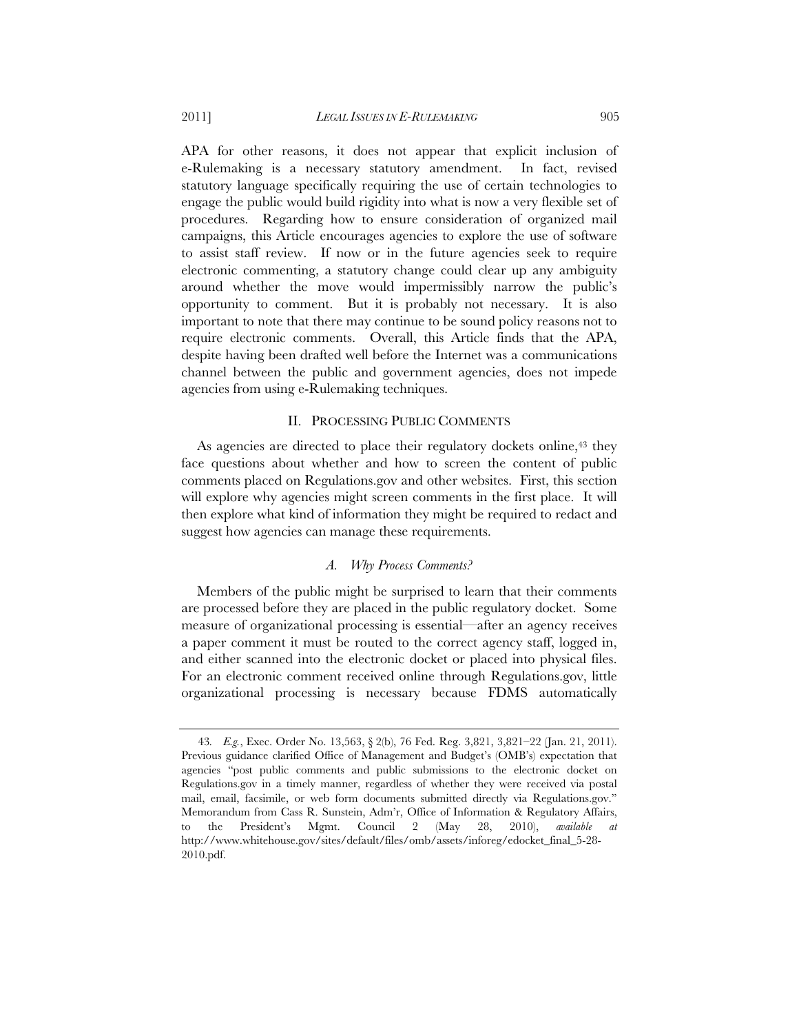APA for other reasons, it does not appear that explicit inclusion of e-Rulemaking is a necessary statutory amendment. In fact, revised statutory language specifically requiring the use of certain technologies to engage the public would build rigidity into what is now a very flexible set of procedures. Regarding how to ensure consideration of organized mail campaigns, this Article encourages agencies to explore the use of software to assist staff review. If now or in the future agencies seek to require electronic commenting, a statutory change could clear up any ambiguity around whether the move would impermissibly narrow the public's opportunity to comment. But it is probably not necessary. It is also important to note that there may continue to be sound policy reasons not to require electronic comments. Overall, this Article finds that the APA, despite having been drafted well before the Internet was a communications channel between the public and government agencies, does not impede agencies from using e-Rulemaking techniques.

#### II. PROCESSING PUBLIC COMMENTS

As agencies are directed to place their regulatory dockets online,<sup>43</sup> they face questions about whether and how to screen the content of public comments placed on Regulations.gov and other websites. First, this section will explore why agencies might screen comments in the first place. It will then explore what kind of information they might be required to redact and suggest how agencies can manage these requirements.

#### *A. Why Process Comments?*

Members of the public might be surprised to learn that their comments are processed before they are placed in the public regulatory docket. Some measure of organizational processing is essential—after an agency receives a paper comment it must be routed to the correct agency staff, logged in, and either scanned into the electronic docket or placed into physical files. For an electronic comment received online through Regulations.gov, little organizational processing is necessary because FDMS automatically

<sup>43</sup>*. E.g.*, Exec. Order No. 13,563, § 2(b), 76 Fed. Reg. 3,821, 3,821–22 (Jan. 21, 2011). Previous guidance clarified Office of Management and Budget's (OMB's) expectation that agencies "post public comments and public submissions to the electronic docket on Regulations.gov in a timely manner, regardless of whether they were received via postal mail, email, facsimile, or web form documents submitted directly via Regulations.gov." Memorandum from Cass R. Sunstein, Adm'r, Office of Information & Regulatory Affairs, to the President's Mgmt. Council 2 (May 28, 2010), *available* http://www.whitehouse.gov/sites/default/files/omb/assets/inforeg/edocket\_final\_5-28- 2010.pdf.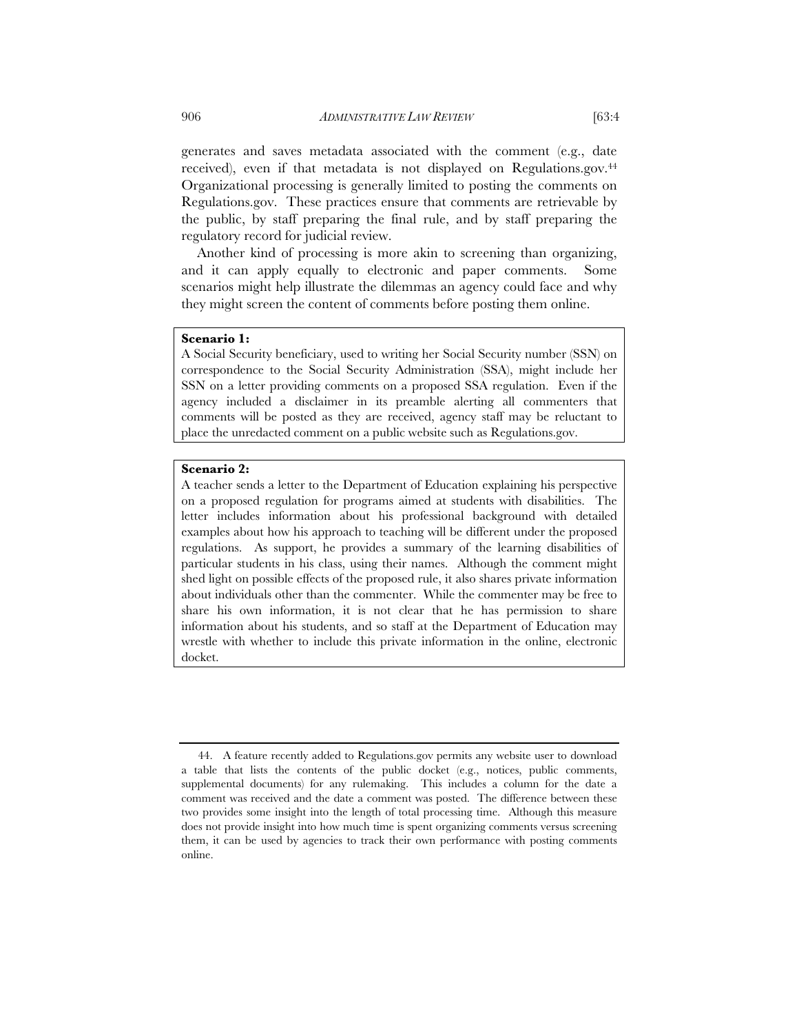generates and saves metadata associated with the comment (e.g., date received), even if that metadata is not displayed on Regulations.gov.44 Organizational processing is generally limited to posting the comments on Regulations.gov. These practices ensure that comments are retrievable by the public, by staff preparing the final rule, and by staff preparing the regulatory record for judicial review.

Another kind of processing is more akin to screening than organizing, and it can apply equally to electronic and paper comments. Some scenarios might help illustrate the dilemmas an agency could face and why they might screen the content of comments before posting them online.

# **Scenario 1:**

A Social Security beneficiary, used to writing her Social Security number (SSN) on correspondence to the Social Security Administration (SSA), might include her SSN on a letter providing comments on a proposed SSA regulation. Even if the agency included a disclaimer in its preamble alerting all commenters that comments will be posted as they are received, agency staff may be reluctant to place the unredacted comment on a public website such as Regulations.gov.

# **Scenario 2:**

A teacher sends a letter to the Department of Education explaining his perspective on a proposed regulation for programs aimed at students with disabilities. The letter includes information about his professional background with detailed examples about how his approach to teaching will be different under the proposed regulations. As support, he provides a summary of the learning disabilities of particular students in his class, using their names. Although the comment might shed light on possible effects of the proposed rule, it also shares private information about individuals other than the commenter. While the commenter may be free to share his own information, it is not clear that he has permission to share information about his students, and so staff at the Department of Education may wrestle with whether to include this private information in the online, electronic docket.

<sup>44.</sup> A feature recently added to Regulations.gov permits any website user to download a table that lists the contents of the public docket (e.g., notices, public comments, supplemental documents) for any rulemaking. This includes a column for the date a comment was received and the date a comment was posted. The difference between these two provides some insight into the length of total processing time. Although this measure does not provide insight into how much time is spent organizing comments versus screening them, it can be used by agencies to track their own performance with posting comments online.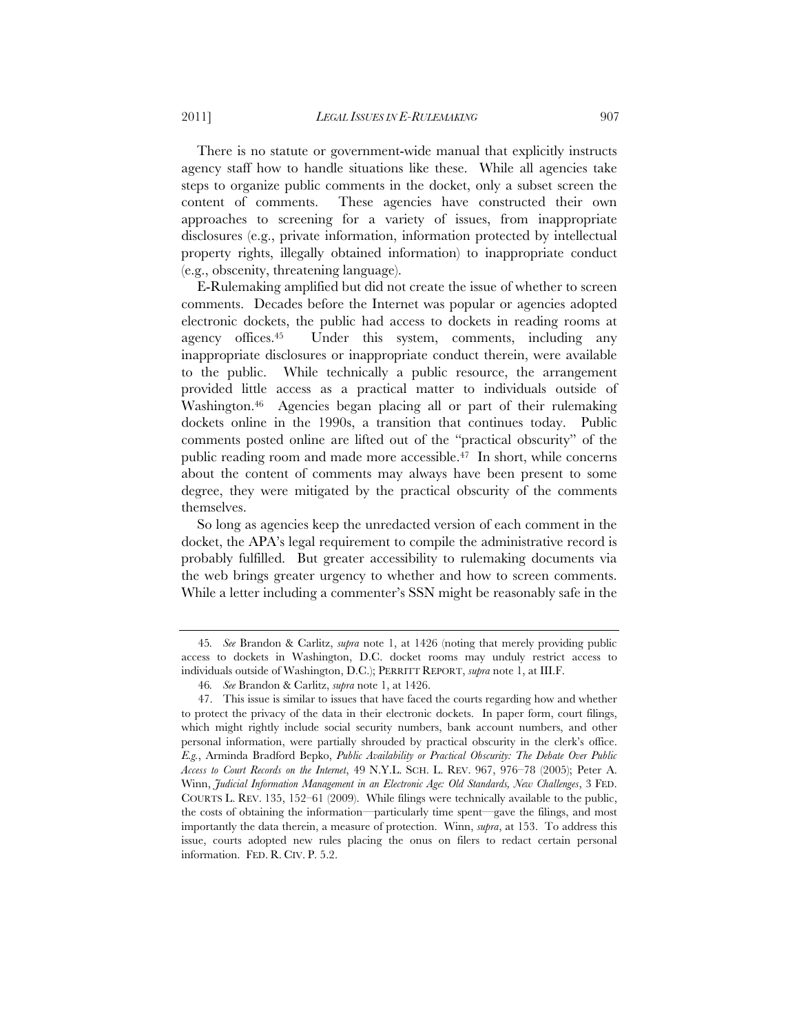There is no statute or government-wide manual that explicitly instructs agency staff how to handle situations like these. While all agencies take steps to organize public comments in the docket, only a subset screen the content of comments. These agencies have constructed their own approaches to screening for a variety of issues, from inappropriate disclosures (e.g., private information, information protected by intellectual property rights, illegally obtained information) to inappropriate conduct (e.g., obscenity, threatening language).

E-Rulemaking amplified but did not create the issue of whether to screen comments. Decades before the Internet was popular or agencies adopted electronic dockets, the public had access to dockets in reading rooms at agency offices.45 Under this system, comments, including any inappropriate disclosures or inappropriate conduct therein, were available to the public. While technically a public resource, the arrangement provided little access as a practical matter to individuals outside of Washington.46 Agencies began placing all or part of their rulemaking dockets online in the 1990s, a transition that continues today. Public comments posted online are lifted out of the "practical obscurity" of the public reading room and made more accessible.47 In short, while concerns about the content of comments may always have been present to some degree, they were mitigated by the practical obscurity of the comments themselves.

So long as agencies keep the unredacted version of each comment in the docket, the APA's legal requirement to compile the administrative record is probably fulfilled. But greater accessibility to rulemaking documents via the web brings greater urgency to whether and how to screen comments. While a letter including a commenter's SSN might be reasonably safe in the

<sup>45</sup>*. See* Brandon & Carlitz, *supra* note 1, at 1426 (noting that merely providing public access to dockets in Washington, D.C. docket rooms may unduly restrict access to individuals outside of Washington, D.C.); PERRITT REPORT, *supra* note 1, at III.F.

<sup>46</sup>*. See* Brandon & Carlitz, *supra* note 1, at 1426.

<sup>47.</sup> This issue is similar to issues that have faced the courts regarding how and whether to protect the privacy of the data in their electronic dockets. In paper form, court filings, which might rightly include social security numbers, bank account numbers, and other personal information, were partially shrouded by practical obscurity in the clerk's office. *E.g.*, Arminda Bradford Bepko, *Public Availability or Practical Obscurity: The Debate Over Public Access to Court Records on the Internet*, 49 N.Y.L. SCH. L. REV. 967, 976–78 (2005); Peter A. Winn, *Judicial Information Management in an Electronic Age: Old Standards, New Challenges*, 3 FED. COURTS L. REV. 135, 152–61 (2009). While filings were technically available to the public, the costs of obtaining the information—particularly time spent—gave the filings, and most importantly the data therein, a measure of protection. Winn, *supra*, at 153. To address this issue, courts adopted new rules placing the onus on filers to redact certain personal information. FED. R. CIV. P. 5.2.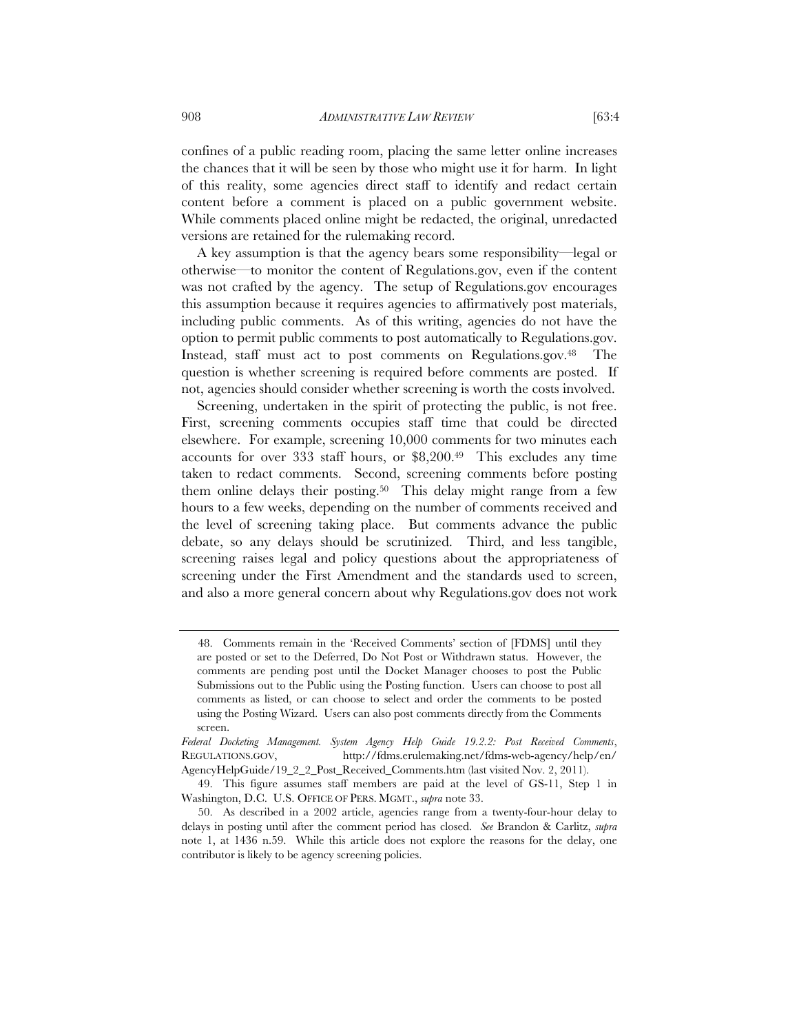confines of a public reading room, placing the same letter online increases the chances that it will be seen by those who might use it for harm. In light of this reality, some agencies direct staff to identify and redact certain content before a comment is placed on a public government website. While comments placed online might be redacted, the original, unredacted versions are retained for the rulemaking record.

A key assumption is that the agency bears some responsibility—legal or otherwise—to monitor the content of Regulations.gov, even if the content was not crafted by the agency. The setup of Regulations.gov encourages this assumption because it requires agencies to affirmatively post materials, including public comments. As of this writing, agencies do not have the option to permit public comments to post automatically to Regulations.gov. Instead, staff must act to post comments on Regulations.gov.48 The question is whether screening is required before comments are posted. If not, agencies should consider whether screening is worth the costs involved.

Screening, undertaken in the spirit of protecting the public, is not free. First, screening comments occupies staff time that could be directed elsewhere. For example, screening 10,000 comments for two minutes each accounts for over 333 staff hours, or \$8,200.49 This excludes any time taken to redact comments. Second, screening comments before posting them online delays their posting.50 This delay might range from a few hours to a few weeks, depending on the number of comments received and the level of screening taking place. But comments advance the public debate, so any delays should be scrutinized. Third, and less tangible, screening raises legal and policy questions about the appropriateness of screening under the First Amendment and the standards used to screen, and also a more general concern about why Regulations.gov does not work

 <sup>48.</sup> Comments remain in the 'Received Comments' section of [FDMS] until they are posted or set to the Deferred, Do Not Post or Withdrawn status. However, the comments are pending post until the Docket Manager chooses to post the Public Submissions out to the Public using the Posting function. Users can choose to post all comments as listed, or can choose to select and order the comments to be posted using the Posting Wizard. Users can also post comments directly from the Comments screen.

*Federal Docketing Management. System Agency Help Guide 19.2.2: Post Received Comments*, REGULATIONS.GOV, http://fdms.erulemaking.net/fdms-web-agency/help/en/ AgencyHelpGuide/19\_2\_2\_Post\_Received\_Comments.htm (last visited Nov. 2, 2011).

<sup>49.</sup> This figure assumes staff members are paid at the level of GS-11, Step 1 in Washington, D.C. U.S. OFFICE OF PERS. MGMT., *supra* note 33.

<sup>50.</sup> As described in a 2002 article, agencies range from a twenty-four-hour delay to delays in posting until after the comment period has closed. *See* Brandon & Carlitz, *supra* note 1, at 1436 n.59. While this article does not explore the reasons for the delay, one contributor is likely to be agency screening policies.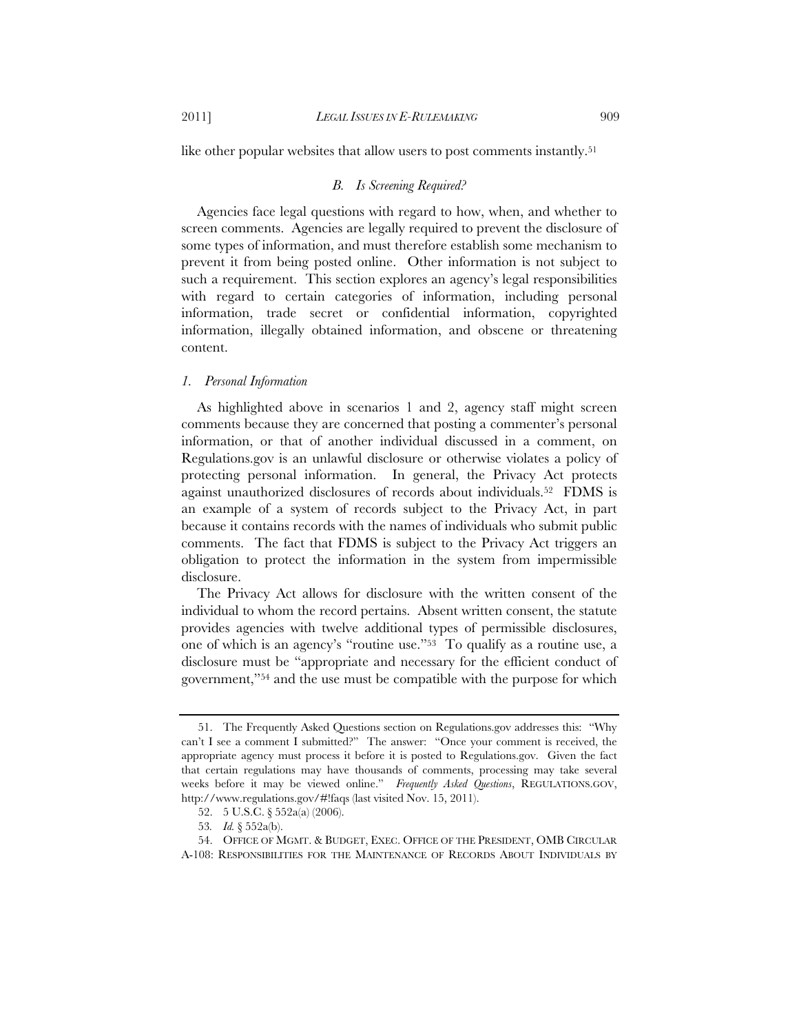like other popular websites that allow users to post comments instantly.<sup>51</sup>

# *B. Is Screening Required?*

Agencies face legal questions with regard to how, when, and whether to screen comments. Agencies are legally required to prevent the disclosure of some types of information, and must therefore establish some mechanism to prevent it from being posted online. Other information is not subject to such a requirement. This section explores an agency's legal responsibilities with regard to certain categories of information, including personal information, trade secret or confidential information, copyrighted information, illegally obtained information, and obscene or threatening content.

#### *1. Personal Information*

As highlighted above in scenarios 1 and 2, agency staff might screen comments because they are concerned that posting a commenter's personal information, or that of another individual discussed in a comment, on Regulations.gov is an unlawful disclosure or otherwise violates a policy of protecting personal information. In general, the Privacy Act protects against unauthorized disclosures of records about individuals.52 FDMS is an example of a system of records subject to the Privacy Act, in part because it contains records with the names of individuals who submit public comments. The fact that FDMS is subject to the Privacy Act triggers an obligation to protect the information in the system from impermissible disclosure.

The Privacy Act allows for disclosure with the written consent of the individual to whom the record pertains. Absent written consent, the statute provides agencies with twelve additional types of permissible disclosures, one of which is an agency's "routine use."53 To qualify as a routine use, a disclosure must be "appropriate and necessary for the efficient conduct of government,"54 and the use must be compatible with the purpose for which

<sup>51.</sup> The Frequently Asked Questions section on Regulations.gov addresses this: "Why can't I see a comment I submitted?" The answer: "Once your comment is received, the appropriate agency must process it before it is posted to Regulations.gov. Given the fact that certain regulations may have thousands of comments, processing may take several weeks before it may be viewed online." *Frequently Asked Questions*, REGULATIONS.GOV, http://www.regulations.gov/#!faqs (last visited Nov. 15, 2011).

<sup>52. 5</sup> U.S.C. § 552a(a) (2006).

<sup>53</sup>*. Id.* § 552a(b).

<sup>54.</sup> OFFICE OF MGMT. & BUDGET, EXEC. OFFICE OF THE PRESIDENT, OMB CIRCULAR A-108: RESPONSIBILITIES FOR THE MAINTENANCE OF RECORDS ABOUT INDIVIDUALS BY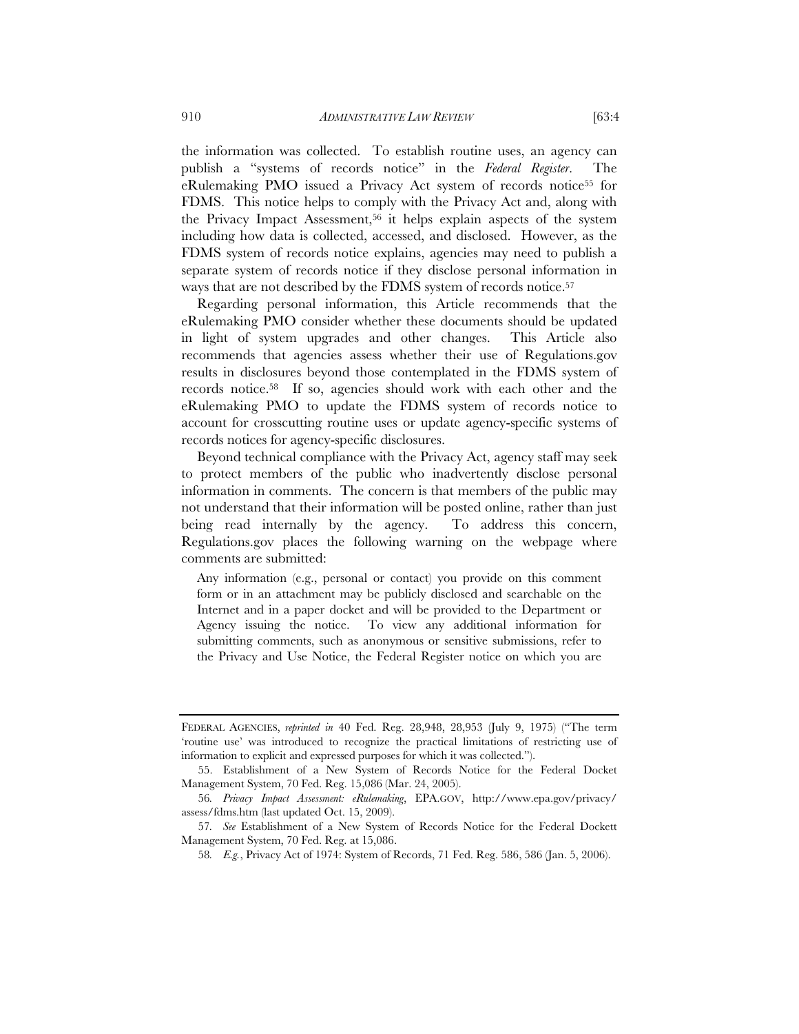the information was collected. To establish routine uses, an agency can publish a "systems of records notice" in the *Federal Register*. The eRulemaking PMO issued a Privacy Act system of records notice55 for FDMS. This notice helps to comply with the Privacy Act and, along with the Privacy Impact Assessment,<sup>56</sup> it helps explain aspects of the system including how data is collected, accessed, and disclosed. However, as the FDMS system of records notice explains, agencies may need to publish a separate system of records notice if they disclose personal information in ways that are not described by the FDMS system of records notice.57

Regarding personal information, this Article recommends that the eRulemaking PMO consider whether these documents should be updated in light of system upgrades and other changes. This Article also recommends that agencies assess whether their use of Regulations.gov results in disclosures beyond those contemplated in the FDMS system of records notice.58 If so, agencies should work with each other and the eRulemaking PMO to update the FDMS system of records notice to account for crosscutting routine uses or update agency-specific systems of records notices for agency-specific disclosures.

Beyond technical compliance with the Privacy Act, agency staff may seek to protect members of the public who inadvertently disclose personal information in comments. The concern is that members of the public may not understand that their information will be posted online, rather than just being read internally by the agency. To address this concern, Regulations.gov places the following warning on the webpage where comments are submitted:

Any information (e.g., personal or contact) you provide on this comment form or in an attachment may be publicly disclosed and searchable on the Internet and in a paper docket and will be provided to the Department or Agency issuing the notice. To view any additional information for submitting comments, such as anonymous or sensitive submissions, refer to the Privacy and Use Notice, the Federal Register notice on which you are

FEDERAL AGENCIES, *reprinted in* 40 Fed. Reg. 28,948, 28,953 (July 9, 1975) ("The term 'routine use' was introduced to recognize the practical limitations of restricting use of information to explicit and expressed purposes for which it was collected.").

<sup>55.</sup> Establishment of a New System of Records Notice for the Federal Docket Management System, 70 Fed. Reg. 15,086 (Mar. 24, 2005).

<sup>56</sup>*. Privacy Impact Assessment: eRulemaking*, EPA.GOV, http://www.epa.gov/privacy/ assess/fdms.htm (last updated Oct. 15, 2009).

<sup>57</sup>*. See* Establishment of a New System of Records Notice for the Federal Dockett Management System, 70 Fed. Reg. at 15,086.

<sup>58</sup>*. E.g.*, Privacy Act of 1974: System of Records, 71 Fed. Reg. 586, 586 (Jan. 5, 2006).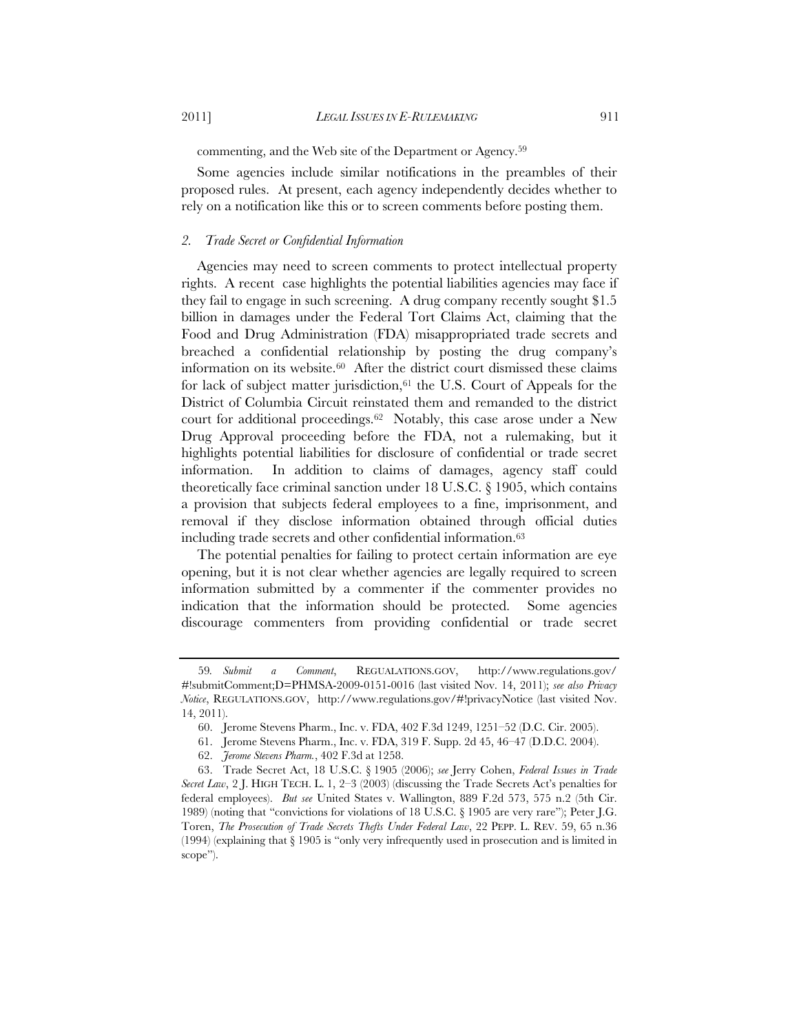2011] *LEGAL ISSUES IN E-RULEMAKING* 911

commenting, and the Web site of the Department or Agency.59

Some agencies include similar notifications in the preambles of their proposed rules. At present, each agency independently decides whether to rely on a notification like this or to screen comments before posting them.

# *2. Trade Secret or Confidential Information*

Agencies may need to screen comments to protect intellectual property rights. A recent case highlights the potential liabilities agencies may face if they fail to engage in such screening. A drug company recently sought \$1.5 billion in damages under the Federal Tort Claims Act, claiming that the Food and Drug Administration (FDA) misappropriated trade secrets and breached a confidential relationship by posting the drug company's information on its website.60 After the district court dismissed these claims for lack of subject matter jurisdiction,  $61$  the U.S. Court of Appeals for the District of Columbia Circuit reinstated them and remanded to the district court for additional proceedings.62 Notably, this case arose under a New Drug Approval proceeding before the FDA, not a rulemaking, but it highlights potential liabilities for disclosure of confidential or trade secret information. In addition to claims of damages, agency staff could theoretically face criminal sanction under 18 U.S.C. § 1905, which contains a provision that subjects federal employees to a fine, imprisonment, and removal if they disclose information obtained through official duties including trade secrets and other confidential information.63

The potential penalties for failing to protect certain information are eye opening, but it is not clear whether agencies are legally required to screen information submitted by a commenter if the commenter provides no indication that the information should be protected. Some agencies discourage commenters from providing confidential or trade secret

<sup>59</sup>*. Submit a Comment*, REGUALATIONS.GOV, http://www.regulations.gov/ #!submitComment;D=PHMSA-2009-0151-0016 (last visited Nov. 14, 2011); *see also Privacy Notice*, REGULATIONS.GOV, http://www.regulations.gov/#!privacyNotice (last visited Nov. 14, 2011).

<sup>60.</sup> Jerome Stevens Pharm., Inc. v. FDA, 402 F.3d 1249, 1251–52 (D.C. Cir. 2005).

<sup>61.</sup> Jerome Stevens Pharm., Inc. v. FDA, 319 F. Supp. 2d 45, 46–47 (D.D.C. 2004).

<sup>62.</sup> *Jerome Stevens Pharm.*, 402 F.3d at 1258.

<sup>63.</sup> Trade Secret Act, 18 U.S.C. § 1905 (2006); *see* Jerry Cohen, *Federal Issues in Trade Secret Law*, 2 J. HIGH TECH. L. 1, 2–3 (2003) (discussing the Trade Secrets Act's penalties for federal employees). *But see* United States v. Wallington, 889 F.2d 573, 575 n.2 (5th Cir. 1989) (noting that "convictions for violations of 18 U.S.C. § 1905 are very rare"); Peter J.G. Toren, *The Prosecution of Trade Secrets Thefts Under Federal Law*, 22 PEPP. L. REV. 59, 65 n.36 (1994) (explaining that § 1905 is "only very infrequently used in prosecution and is limited in scope").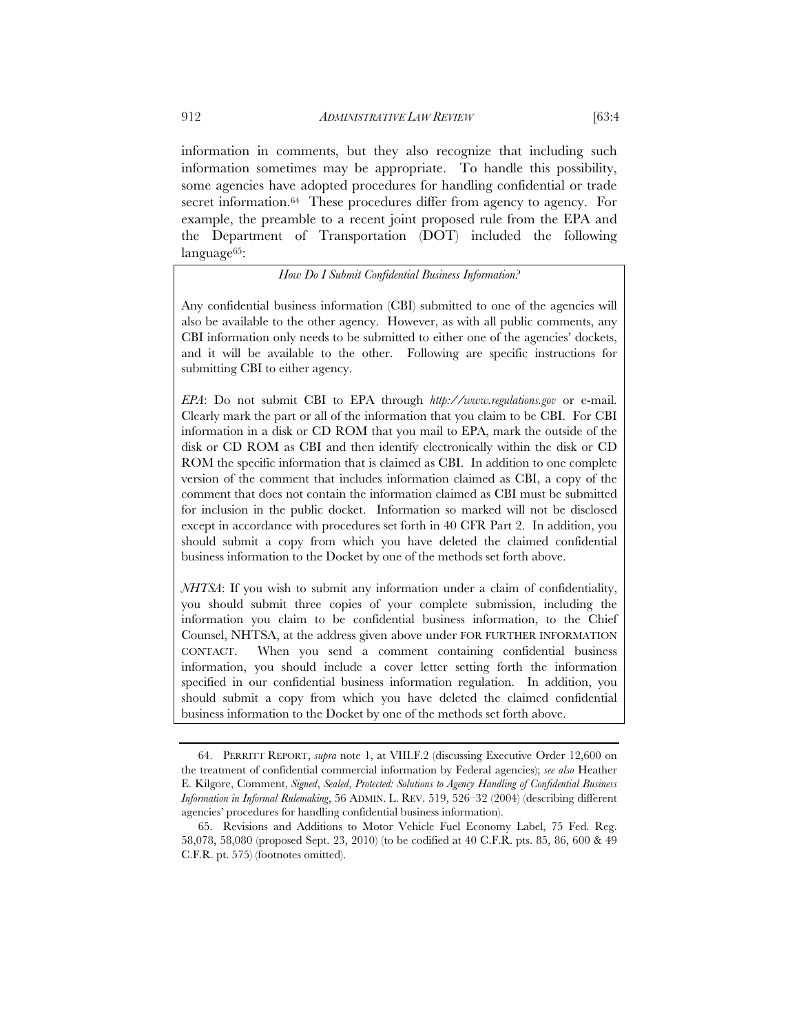information in comments, but they also recognize that including such information sometimes may be appropriate. To handle this possibility, some agencies have adopted procedures for handling confidential or trade secret information.64 These procedures differ from agency to agency. For example, the preamble to a recent joint proposed rule from the EPA and the Department of Transportation (DOT) included the following language<sup>65</sup>:

# *How Do I Submit Confidential Business Information?*

Any confidential business information (CBI) submitted to one of the agencies will also be available to the other agency. However, as with all public comments, any CBI information only needs to be submitted to either one of the agencies' dockets, and it will be available to the other. Following are specific instructions for submitting CBI to either agency.

*EPA*: Do not submit CBI to EPA through *http://www.regulations.gov* or e-mail. Clearly mark the part or all of the information that you claim to be CBI. For CBI information in a disk or CD ROM that you mail to EPA, mark the outside of the disk or CD ROM as CBI and then identify electronically within the disk or CD ROM the specific information that is claimed as CBI. In addition to one complete version of the comment that includes information claimed as CBI, a copy of the comment that does not contain the information claimed as CBI must be submitted for inclusion in the public docket. Information so marked will not be disclosed except in accordance with procedures set forth in 40 CFR Part 2. In addition, you should submit a copy from which you have deleted the claimed confidential business information to the Docket by one of the methods set forth above.

*NHTSA*: If you wish to submit any information under a claim of confidentiality, you should submit three copies of your complete submission, including the information you claim to be confidential business information, to the Chief Counsel, NHTSA, at the address given above under FOR FURTHER INFORMATION CONTACT. When you send a comment containing confidential business information, you should include a cover letter setting forth the information specified in our confidential business information regulation. In addition, you should submit a copy from which you have deleted the claimed confidential business information to the Docket by one of the methods set forth above.

<sup>64.</sup> PERRITT REPORT, *supra* note 1, at VIII.F.2 (discussing Executive Order 12,600 on the treatment of confidential commercial information by Federal agencies); *see also* Heather E. Kilgore, Comment, *Signed*, *Sealed*, *Protected: Solutions to Agency Handling of Confidential Business Information in Informal Rulemaking*, 56 ADMIN. L. REV. 519, 526–32 (2004) (describing different agencies' procedures for handling confidential business information).

<sup>65.</sup> Revisions and Additions to Motor Vehicle Fuel Economy Label, 75 Fed. Reg. 58,078, 58,080 (proposed Sept. 23, 2010) (to be codified at 40 C.F.R. pts. 85, 86, 600 & 49 C.F.R. pt. 575) (footnotes omitted).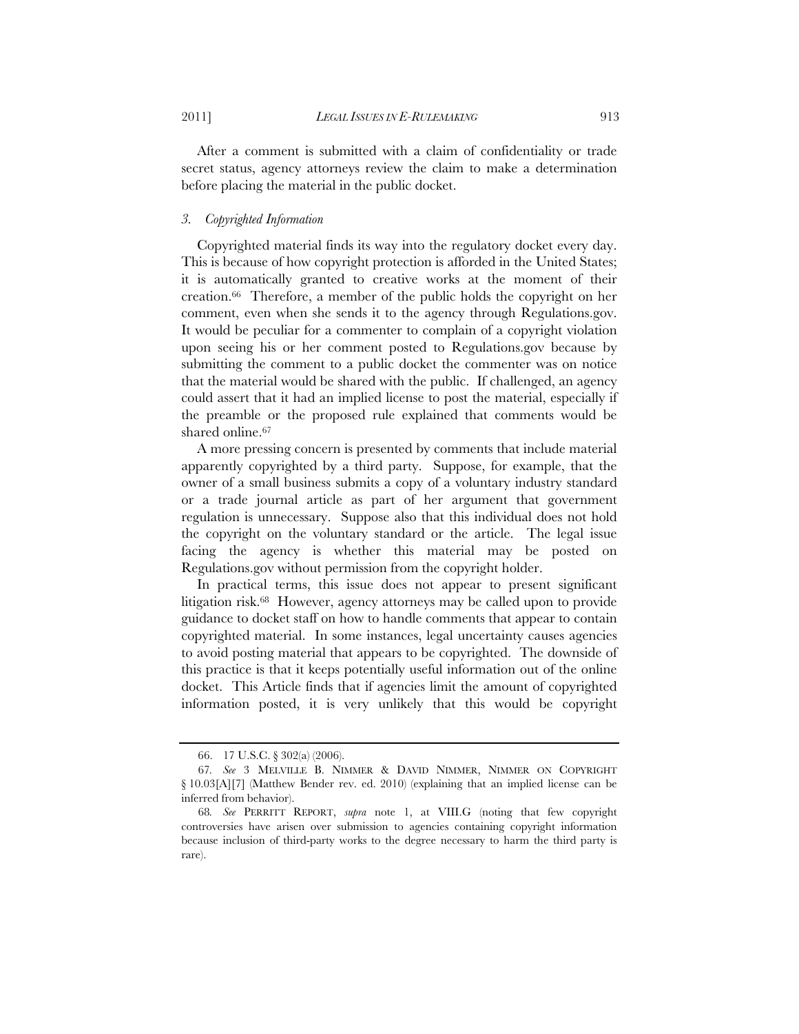After a comment is submitted with a claim of confidentiality or trade secret status, agency attorneys review the claim to make a determination before placing the material in the public docket.

#### *3. Copyrighted Information*

Copyrighted material finds its way into the regulatory docket every day. This is because of how copyright protection is afforded in the United States; it is automatically granted to creative works at the moment of their creation.66 Therefore, a member of the public holds the copyright on her comment, even when she sends it to the agency through Regulations.gov. It would be peculiar for a commenter to complain of a copyright violation upon seeing his or her comment posted to Regulations.gov because by submitting the comment to a public docket the commenter was on notice that the material would be shared with the public. If challenged, an agency could assert that it had an implied license to post the material, especially if the preamble or the proposed rule explained that comments would be shared online.67

A more pressing concern is presented by comments that include material apparently copyrighted by a third party. Suppose, for example, that the owner of a small business submits a copy of a voluntary industry standard or a trade journal article as part of her argument that government regulation is unnecessary. Suppose also that this individual does not hold the copyright on the voluntary standard or the article. The legal issue facing the agency is whether this material may be posted on Regulations.gov without permission from the copyright holder.

In practical terms, this issue does not appear to present significant litigation risk.68 However, agency attorneys may be called upon to provide guidance to docket staff on how to handle comments that appear to contain copyrighted material. In some instances, legal uncertainty causes agencies to avoid posting material that appears to be copyrighted. The downside of this practice is that it keeps potentially useful information out of the online docket. This Article finds that if agencies limit the amount of copyrighted information posted, it is very unlikely that this would be copyright

<sup>66. 17</sup> U.S.C. § 302(a) (2006).

<sup>67</sup>*. See* 3 MELVILLE B. NIMMER & DAVID NIMMER, NIMMER ON COPYRIGHT § 10.03[A][7] (Matthew Bender rev. ed. 2010) (explaining that an implied license can be inferred from behavior).

<sup>68</sup>*. See* PERRITT REPORT, *supra* note 1, at VIII.G (noting that few copyright controversies have arisen over submission to agencies containing copyright information because inclusion of third-party works to the degree necessary to harm the third party is rare).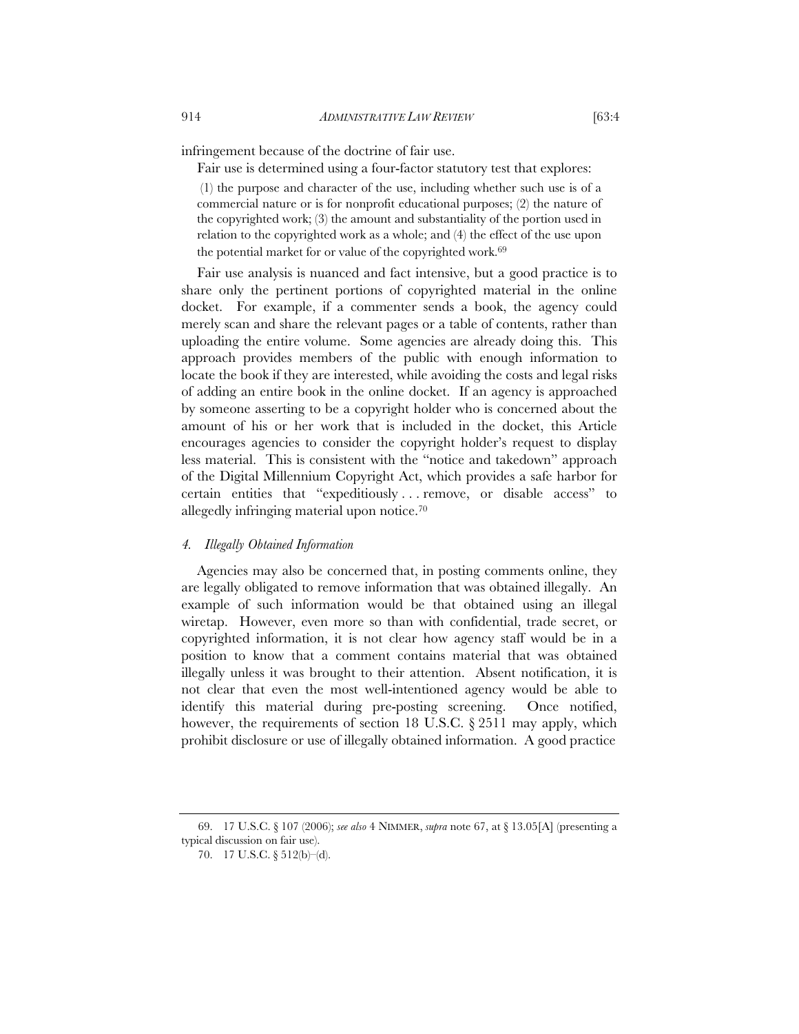infringement because of the doctrine of fair use.

Fair use is determined using a four-factor statutory test that explores:

 (1) the purpose and character of the use, including whether such use is of a commercial nature or is for nonprofit educational purposes; (2) the nature of the copyrighted work; (3) the amount and substantiality of the portion used in relation to the copyrighted work as a whole; and (4) the effect of the use upon the potential market for or value of the copyrighted work.<sup>69</sup>

 Fair use analysis is nuanced and fact intensive, but a good practice is to share only the pertinent portions of copyrighted material in the online docket. For example, if a commenter sends a book, the agency could merely scan and share the relevant pages or a table of contents, rather than uploading the entire volume. Some agencies are already doing this. This approach provides members of the public with enough information to locate the book if they are interested, while avoiding the costs and legal risks of adding an entire book in the online docket. If an agency is approached by someone asserting to be a copyright holder who is concerned about the amount of his or her work that is included in the docket, this Article encourages agencies to consider the copyright holder's request to display less material. This is consistent with the "notice and takedown" approach of the Digital Millennium Copyright Act, which provides a safe harbor for certain entities that "expeditiously . . . remove, or disable access" to allegedly infringing material upon notice.70

# *4. Illegally Obtained Information*

Agencies may also be concerned that, in posting comments online, they are legally obligated to remove information that was obtained illegally. An example of such information would be that obtained using an illegal wiretap. However, even more so than with confidential, trade secret, or copyrighted information, it is not clear how agency staff would be in a position to know that a comment contains material that was obtained illegally unless it was brought to their attention. Absent notification, it is not clear that even the most well-intentioned agency would be able to identify this material during pre-posting screening. Once notified, however, the requirements of section 18 U.S.C.  $\S 2511$  may apply, which prohibit disclosure or use of illegally obtained information. A good practice

69. 17 U.S.C. § 107 (2006); *see also* 4 NIMMER, *supra* note 67, at § 13.05[A] (presenting a typical discussion on fair use).

<sup>70. 17</sup> U.S.C. § 512(b)–(d).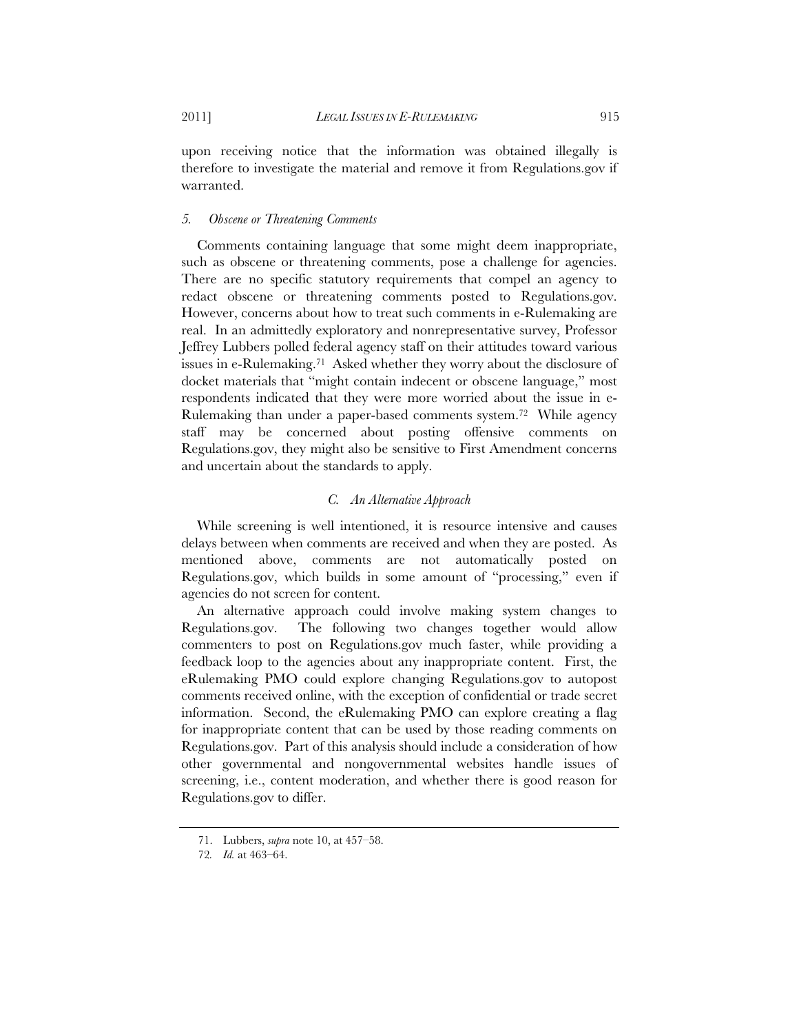upon receiving notice that the information was obtained illegally is therefore to investigate the material and remove it from Regulations.gov if warranted.

#### *5. Obscene or Threatening Comments*

Comments containing language that some might deem inappropriate, such as obscene or threatening comments, pose a challenge for agencies. There are no specific statutory requirements that compel an agency to redact obscene or threatening comments posted to Regulations.gov. However, concerns about how to treat such comments in e-Rulemaking are real. In an admittedly exploratory and nonrepresentative survey, Professor Jeffrey Lubbers polled federal agency staff on their attitudes toward various issues in e-Rulemaking.71 Asked whether they worry about the disclosure of docket materials that "might contain indecent or obscene language," most respondents indicated that they were more worried about the issue in e-Rulemaking than under a paper-based comments system.72 While agency staff may be concerned about posting offensive comments on Regulations.gov, they might also be sensitive to First Amendment concerns and uncertain about the standards to apply.

# *C. An Alternative Approach*

While screening is well intentioned, it is resource intensive and causes delays between when comments are received and when they are posted. As mentioned above, comments are not automatically posted on Regulations.gov, which builds in some amount of "processing," even if agencies do not screen for content.

An alternative approach could involve making system changes to Regulations.gov. The following two changes together would allow commenters to post on Regulations.gov much faster, while providing a feedback loop to the agencies about any inappropriate content. First, the eRulemaking PMO could explore changing Regulations.gov to autopost comments received online, with the exception of confidential or trade secret information. Second, the eRulemaking PMO can explore creating a flag for inappropriate content that can be used by those reading comments on Regulations.gov. Part of this analysis should include a consideration of how other governmental and nongovernmental websites handle issues of screening, i.e., content moderation, and whether there is good reason for Regulations.gov to differ.

<sup>71.</sup> Lubbers, *supra* note 10, at 457–58.

<sup>72</sup>*. Id.* at 463–64.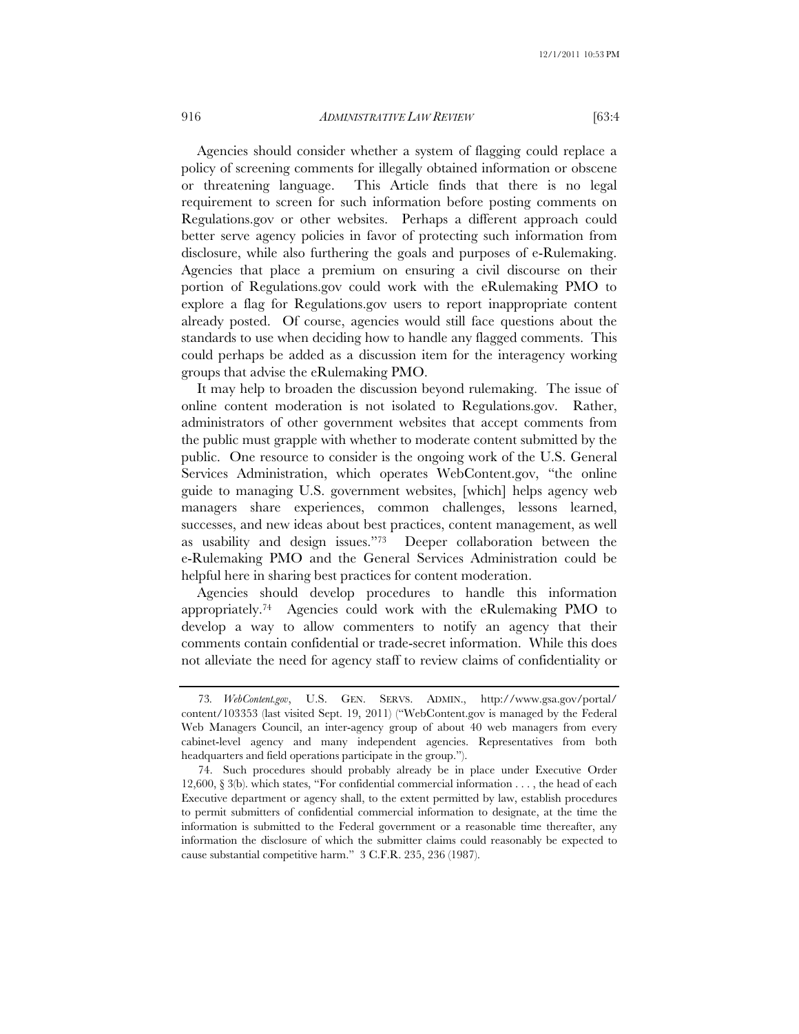# 916 *ADMINISTRATIVE LAW REVIEW* [63:4

Agencies should consider whether a system of flagging could replace a policy of screening comments for illegally obtained information or obscene or threatening language. This Article finds that there is no legal requirement to screen for such information before posting comments on Regulations.gov or other websites. Perhaps a different approach could better serve agency policies in favor of protecting such information from disclosure, while also furthering the goals and purposes of e-Rulemaking. Agencies that place a premium on ensuring a civil discourse on their portion of Regulations.gov could work with the eRulemaking PMO to explore a flag for Regulations.gov users to report inappropriate content already posted. Of course, agencies would still face questions about the standards to use when deciding how to handle any flagged comments. This could perhaps be added as a discussion item for the interagency working groups that advise the eRulemaking PMO.

It may help to broaden the discussion beyond rulemaking. The issue of online content moderation is not isolated to Regulations.gov. Rather, administrators of other government websites that accept comments from the public must grapple with whether to moderate content submitted by the public. One resource to consider is the ongoing work of the U.S. General Services Administration, which operates WebContent.gov, "the online guide to managing U.S. government websites, [which] helps agency web managers share experiences, common challenges, lessons learned, successes, and new ideas about best practices, content management, as well as usability and design issues."73 Deeper collaboration between the e-Rulemaking PMO and the General Services Administration could be helpful here in sharing best practices for content moderation.

Agencies should develop procedures to handle this information appropriately.74 Agencies could work with the eRulemaking PMO to develop a way to allow commenters to notify an agency that their comments contain confidential or trade-secret information. While this does not alleviate the need for agency staff to review claims of confidentiality or

<sup>73</sup>*. WebContent.gov*, U.S. GEN. SERVS. ADMIN., http://www.gsa.gov/portal/ content/103353 (last visited Sept. 19, 2011) ("WebContent.gov is managed by the Federal Web Managers Council, an inter-agency group of about 40 web managers from every cabinet-level agency and many independent agencies. Representatives from both headquarters and field operations participate in the group.").

<sup>74.</sup> Such procedures should probably already be in place under Executive Order 12,600, § 3(b). which states, "For confidential commercial information . . . , the head of each Executive department or agency shall, to the extent permitted by law, establish procedures to permit submitters of confidential commercial information to designate, at the time the information is submitted to the Federal government or a reasonable time thereafter, any information the disclosure of which the submitter claims could reasonably be expected to cause substantial competitive harm." 3 C.F.R. 235, 236 (1987).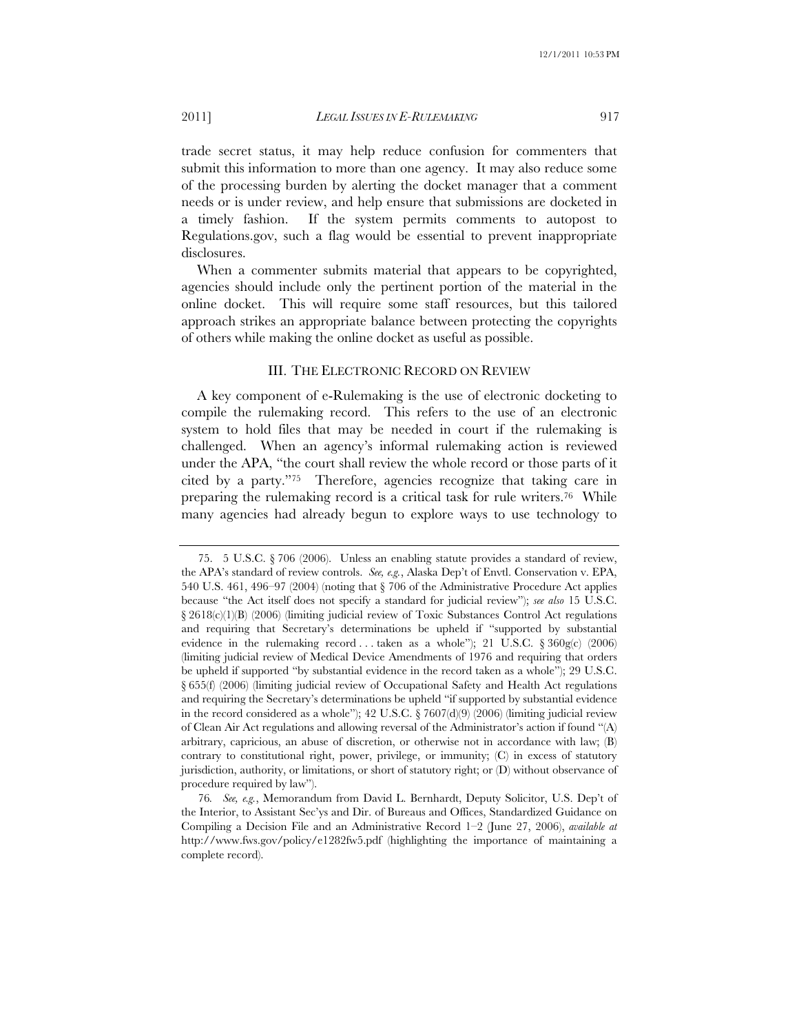# 2011] *LEGAL ISSUES IN E-RULEMAKING* 917

trade secret status, it may help reduce confusion for commenters that submit this information to more than one agency. It may also reduce some of the processing burden by alerting the docket manager that a comment needs or is under review, and help ensure that submissions are docketed in a timely fashion. If the system permits comments to autopost to Regulations.gov, such a flag would be essential to prevent inappropriate disclosures.

When a commenter submits material that appears to be copyrighted, agencies should include only the pertinent portion of the material in the online docket. This will require some staff resources, but this tailored approach strikes an appropriate balance between protecting the copyrights of others while making the online docket as useful as possible.

# III. THE ELECTRONIC RECORD ON REVIEW

A key component of e-Rulemaking is the use of electronic docketing to compile the rulemaking record. This refers to the use of an electronic system to hold files that may be needed in court if the rulemaking is challenged. When an agency's informal rulemaking action is reviewed under the APA, "the court shall review the whole record or those parts of it cited by a party."75 Therefore, agencies recognize that taking care in preparing the rulemaking record is a critical task for rule writers.76 While many agencies had already begun to explore ways to use technology to

<sup>75. 5</sup> U.S.C. § 706 (2006). Unless an enabling statute provides a standard of review, the APA's standard of review controls. *See, e.g.*, Alaska Dep't of Envtl. Conservation v. EPA, 540 U.S. 461, 496–97 (2004) (noting that § 706 of the Administrative Procedure Act applies because "the Act itself does not specify a standard for judicial review"); *see also* 15 U.S.C. § 2618(c)(1)(B) (2006) (limiting judicial review of Toxic Substances Control Act regulations and requiring that Secretary's determinations be upheld if "supported by substantial evidence in the rulemaking record . . . taken as a whole"); 21 U.S.C.  $\delta$  360g(c) (2006) (limiting judicial review of Medical Device Amendments of 1976 and requiring that orders be upheld if supported "by substantial evidence in the record taken as a whole"); 29 U.S.C. § 655(f) (2006) (limiting judicial review of Occupational Safety and Health Act regulations and requiring the Secretary's determinations be upheld "if supported by substantial evidence in the record considered as a whole");  $42 \text{ U.S.C.}$   $\frac{67607 \text{ (d)}(9)}{2006}$  (limiting judicial review of Clean Air Act regulations and allowing reversal of the Administrator's action if found "(A) arbitrary, capricious, an abuse of discretion, or otherwise not in accordance with law; (B) contrary to constitutional right, power, privilege, or immunity; (C) in excess of statutory jurisdiction, authority, or limitations, or short of statutory right; or (D) without observance of procedure required by law").

<sup>76</sup>*. See, e.g.*, Memorandum from David L. Bernhardt, Deputy Solicitor, U.S. Dep't of the Interior, to Assistant Sec'ys and Dir. of Bureaus and Offices, Standardized Guidance on Compiling a Decision File and an Administrative Record 1–2 (June 27, 2006), *available at*  http://www.fws.gov/policy/e1282fw5.pdf (highlighting the importance of maintaining a complete record).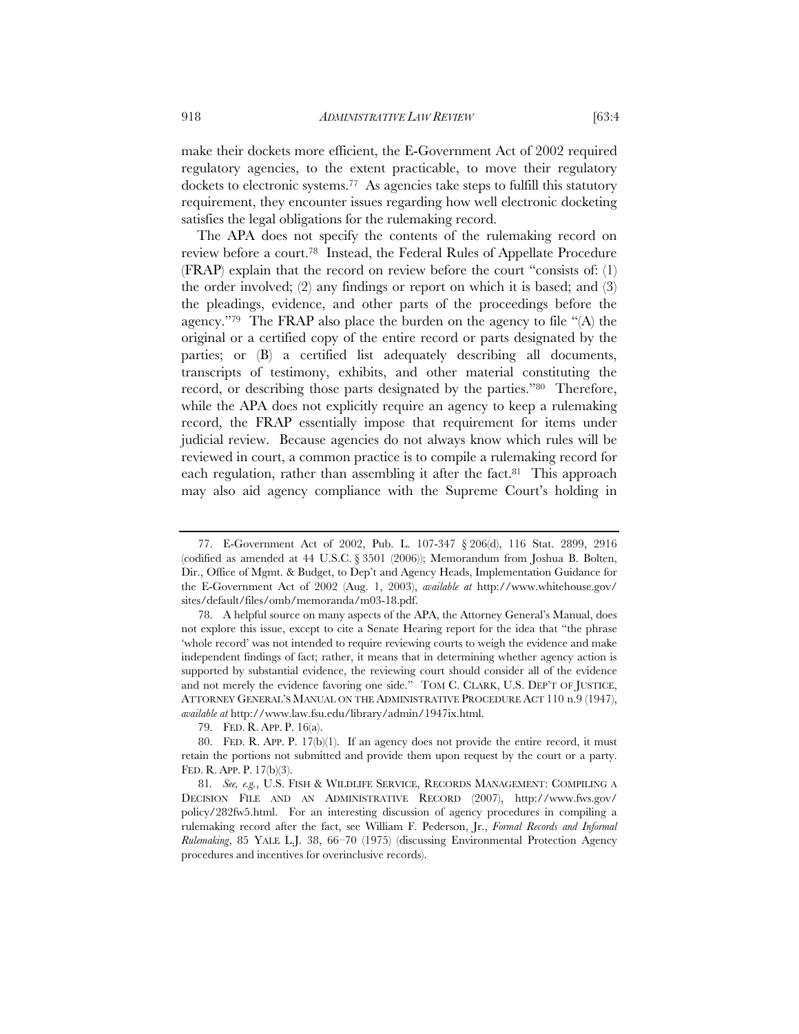make their dockets more efficient, the E-Government Act of 2002 required regulatory agencies, to the extent practicable, to move their regulatory dockets to electronic systems.77 As agencies take steps to fulfill this statutory requirement, they encounter issues regarding how well electronic docketing satisfies the legal obligations for the rulemaking record.

The APA does not specify the contents of the rulemaking record on review before a court.78 Instead, the Federal Rules of Appellate Procedure (FRAP) explain that the record on review before the court "consists of: (1) the order involved; (2) any findings or report on which it is based; and (3) the pleadings, evidence, and other parts of the proceedings before the agency."79 The FRAP also place the burden on the agency to file "(A) the original or a certified copy of the entire record or parts designated by the parties; or (B) a certified list adequately describing all documents, transcripts of testimony, exhibits, and other material constituting the record, or describing those parts designated by the parties."80 Therefore, while the APA does not explicitly require an agency to keep a rulemaking record, the FRAP essentially impose that requirement for items under judicial review. Because agencies do not always know which rules will be reviewed in court, a common practice is to compile a rulemaking record for each regulation, rather than assembling it after the fact.<sup>81</sup> This approach may also aid agency compliance with the Supreme Court's holding in

<sup>77.</sup> E-Government Act of 2002, Pub. L. 107-347 § 206(d), 116 Stat. 2899, 2916 (codified as amended at 44 U.S.C. § 3501 (2006)); Memorandum from Joshua B. Bolten, Dir., Office of Mgmt. & Budget, to Dep't and Agency Heads, Implementation Guidance for the E-Government Act of 2002 (Aug. 1, 2003), *available at* http://www.whitehouse.gov/ sites/default/files/omb/memoranda/m03-18.pdf.

<sup>78.</sup> A helpful source on many aspects of the APA, the Attorney General's Manual, does not explore this issue, except to cite a Senate Hearing report for the idea that "the phrase 'whole record' was not intended to require reviewing courts to weigh the evidence and make independent findings of fact; rather, it means that in determining whether agency action is supported by substantial evidence, the reviewing court should consider all of the evidence and not merely the evidence favoring one side." TOM C. CLARK, U.S. DEP'T OF JUSTICE, ATTORNEY GENERAL'S MANUAL ON THE ADMINISTRATIVE PROCEDURE ACT 110 n.9 (1947), *available at* http://www.law.fsu.edu/library/admin/1947ix.html.

<sup>79.</sup> FED. R. APP. P. 16(a).

<sup>80.</sup> FED. R. APP. P. 17(b)(1). If an agency does not provide the entire record, it must retain the portions not submitted and provide them upon request by the court or a party. FED. R. APP. P. 17(b)(3).

<sup>81</sup>*. See, e.g.*, U.S. FISH & WILDLIFE SERVICE, RECORDS MANAGEMENT: COMPILING A DECISION FILE AND AN ADMINISTRATIVE RECORD (2007), http://www.fws.gov/ policy/282fw5.html. For an interesting discussion of agency procedures in compiling a rulemaking record after the fact, see William F. Pederson, Jr., *Formal Records and Informal Rulemaking*, 85 YALE L.J. 38, 66–70 (1975) (discussing Environmental Protection Agency procedures and incentives for overinclusive records).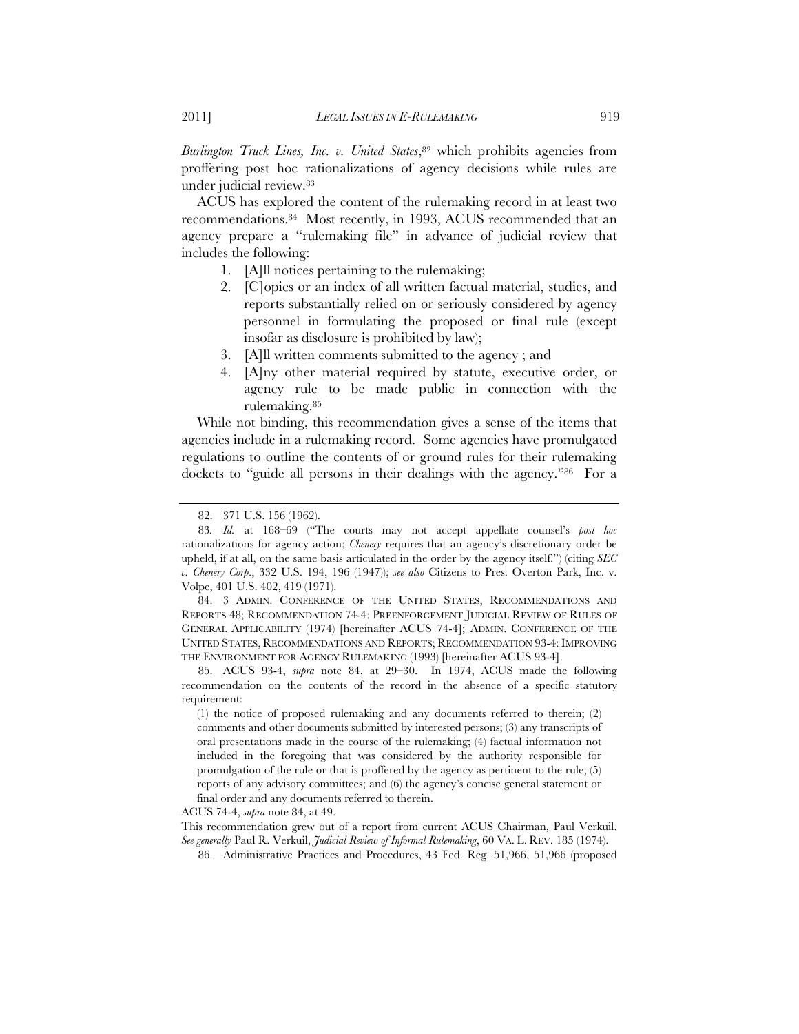*Burlington Truck Lines, Inc. v. United States*,<sup>82</sup> which prohibits agencies from proffering post hoc rationalizations of agency decisions while rules are under judicial review.83

ACUS has explored the content of the rulemaking record in at least two recommendations.84 Most recently, in 1993, ACUS recommended that an agency prepare a "rulemaking file" in advance of judicial review that includes the following:

- 1. [A]ll notices pertaining to the rulemaking;
- 2. [C]opies or an index of all written factual material, studies, and reports substantially relied on or seriously considered by agency personnel in formulating the proposed or final rule (except insofar as disclosure is prohibited by law);
- 3. [A]ll written comments submitted to the agency ; and
- 4. [A]ny other material required by statute, executive order, or agency rule to be made public in connection with the rulemaking.85

While not binding, this recommendation gives a sense of the items that agencies include in a rulemaking record. Some agencies have promulgated regulations to outline the contents of or ground rules for their rulemaking dockets to "guide all persons in their dealings with the agency."86 For a

84. 3 ADMIN. CONFERENCE OF THE UNITED STATES, RECOMMENDATIONS AND REPORTS 48; RECOMMENDATION 74-4: PREENFORCEMENT JUDICIAL REVIEW OF RULES OF GENERAL APPLICABILITY (1974) [hereinafter ACUS 74-4]; ADMIN. CONFERENCE OF THE UNITED STATES, RECOMMENDATIONS AND REPORTS; RECOMMENDATION 93-4: IMPROVING THE ENVIRONMENT FOR AGENCY RULEMAKING (1993) [hereinafter ACUS 93-4].

85. ACUS 93-4, *supra* note 84, at 29–30. In 1974, ACUS made the following recommendation on the contents of the record in the absence of a specific statutory requirement:

(1) the notice of proposed rulemaking and any documents referred to therein; (2) comments and other documents submitted by interested persons; (3) any transcripts of oral presentations made in the course of the rulemaking; (4) factual information not included in the foregoing that was considered by the authority responsible for promulgation of the rule or that is proffered by the agency as pertinent to the rule; (5) reports of any advisory committees; and (6) the agency's concise general statement or final order and any documents referred to therein.

ACUS 74-4, *supra* note 84, at 49.

This recommendation grew out of a report from current ACUS Chairman, Paul Verkuil. *See generally* Paul R. Verkuil, *Judicial Review of Informal Rulemaking*, 60 VA. L. REV. 185 (1974).

86. Administrative Practices and Procedures, 43 Fed. Reg. 51,966, 51,966 (proposed

<sup>82. 371</sup> U.S. 156 (1962).

<sup>83</sup>*. Id.* at 168–69 ("The courts may not accept appellate counsel's *post hoc* rationalizations for agency action; *Chenery* requires that an agency's discretionary order be upheld, if at all, on the same basis articulated in the order by the agency itself.") (citing *SEC v. Chenery Corp*., 332 U.S. 194, 196 (1947)); *see also* Citizens to Pres. Overton Park, Inc. v. Volpe, 401 U.S. 402, 419 (1971).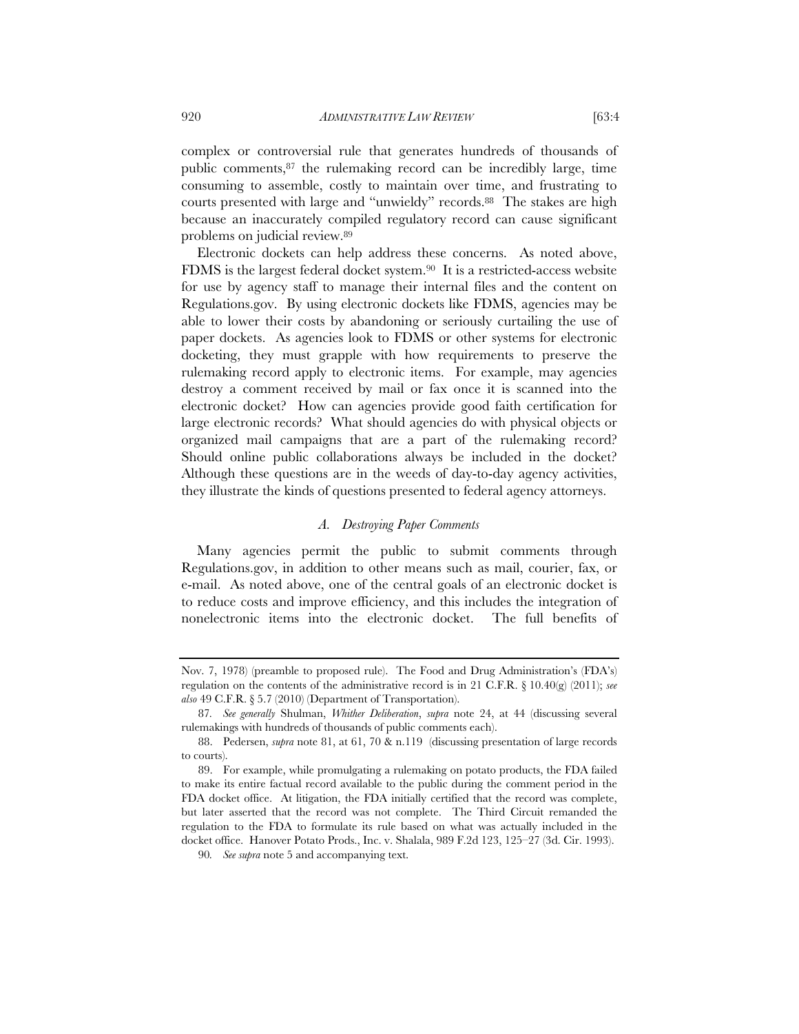complex or controversial rule that generates hundreds of thousands of public comments,87 the rulemaking record can be incredibly large, time

consuming to assemble, costly to maintain over time, and frustrating to courts presented with large and "unwieldy" records.<sup>88</sup> The stakes are high because an inaccurately compiled regulatory record can cause significant problems on judicial review.89

Electronic dockets can help address these concerns. As noted above, FDMS is the largest federal docket system.90 It is a restricted-access website for use by agency staff to manage their internal files and the content on Regulations.gov. By using electronic dockets like FDMS, agencies may be able to lower their costs by abandoning or seriously curtailing the use of paper dockets. As agencies look to FDMS or other systems for electronic docketing, they must grapple with how requirements to preserve the rulemaking record apply to electronic items. For example, may agencies destroy a comment received by mail or fax once it is scanned into the electronic docket? How can agencies provide good faith certification for large electronic records? What should agencies do with physical objects or organized mail campaigns that are a part of the rulemaking record? Should online public collaborations always be included in the docket? Although these questions are in the weeds of day-to-day agency activities, they illustrate the kinds of questions presented to federal agency attorneys.

# *A. Destroying Paper Comments*

Many agencies permit the public to submit comments through Regulations.gov, in addition to other means such as mail, courier, fax, or e-mail. As noted above, one of the central goals of an electronic docket is to reduce costs and improve efficiency, and this includes the integration of nonelectronic items into the electronic docket. The full benefits of

Nov. 7, 1978) (preamble to proposed rule). The Food and Drug Administration's (FDA's) regulation on the contents of the administrative record is in 21 C.F.R. § 10.40(g) (2011); *see also* 49 C.F.R. § 5.7 (2010) (Department of Transportation).

<sup>87</sup>*. See generally* Shulman, *Whither Deliberation*, *supra* note 24, at 44 (discussing several rulemakings with hundreds of thousands of public comments each).

<sup>88.</sup> Pedersen, *supra* note 81, at 61, 70 & n.119 (discussing presentation of large records to courts).

<sup>89.</sup> For example, while promulgating a rulemaking on potato products, the FDA failed to make its entire factual record available to the public during the comment period in the FDA docket office. At litigation, the FDA initially certified that the record was complete, but later asserted that the record was not complete. The Third Circuit remanded the regulation to the FDA to formulate its rule based on what was actually included in the docket office. Hanover Potato Prods., Inc. v. Shalala, 989 F.2d 123, 125–27 (3d. Cir. 1993).

<sup>90</sup>*. See supra* note 5 and accompanying text.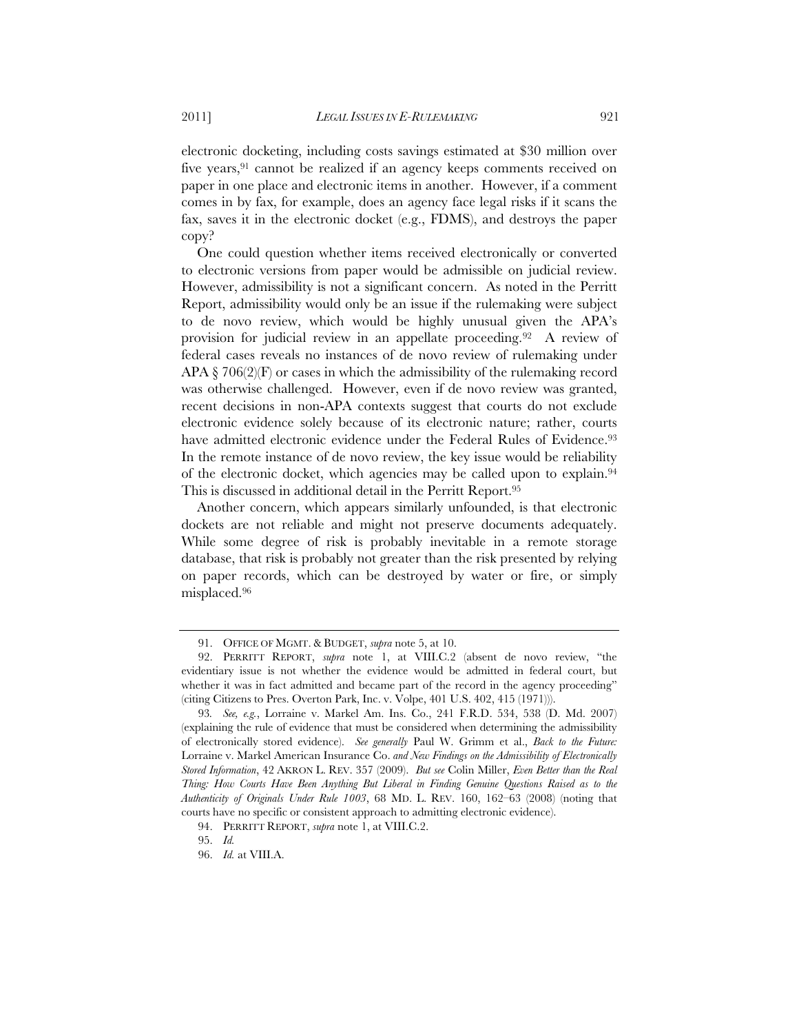electronic docketing, including costs savings estimated at \$30 million over five years,<sup>91</sup> cannot be realized if an agency keeps comments received on paper in one place and electronic items in another. However, if a comment comes in by fax, for example, does an agency face legal risks if it scans the fax, saves it in the electronic docket (e.g., FDMS), and destroys the paper copy?

One could question whether items received electronically or converted to electronic versions from paper would be admissible on judicial review. However, admissibility is not a significant concern. As noted in the Perritt Report, admissibility would only be an issue if the rulemaking were subject to de novo review, which would be highly unusual given the APA's provision for judicial review in an appellate proceeding.92 A review of federal cases reveals no instances of de novo review of rulemaking under APA  $\S$  706(2)(F) or cases in which the admissibility of the rulemaking record was otherwise challenged. However, even if de novo review was granted, recent decisions in non-APA contexts suggest that courts do not exclude electronic evidence solely because of its electronic nature; rather, courts have admitted electronic evidence under the Federal Rules of Evidence.<sup>93</sup> In the remote instance of de novo review, the key issue would be reliability of the electronic docket, which agencies may be called upon to explain.94 This is discussed in additional detail in the Perritt Report.95

Another concern, which appears similarly unfounded, is that electronic dockets are not reliable and might not preserve documents adequately. While some degree of risk is probably inevitable in a remote storage database, that risk is probably not greater than the risk presented by relying on paper records, which can be destroyed by water or fire, or simply misplaced.96

<sup>91.</sup> OFFICE OF MGMT. & BUDGET, *supra* note 5, at 10.

<sup>92.</sup> PERRITT REPORT, *supra* note 1, at VIII.C.2 (absent de novo review, "the evidentiary issue is not whether the evidence would be admitted in federal court, but whether it was in fact admitted and became part of the record in the agency proceeding" (citing Citizens to Pres. Overton Park, Inc. v. Volpe, 401 U.S. 402, 415 (1971))).

<sup>93</sup>*. See, e.g.*, Lorraine v. Markel Am. Ins. Co., 241 F.R.D. 534, 538 (D. Md. 2007) (explaining the rule of evidence that must be considered when determining the admissibility of electronically stored evidence). *See generally* Paul W. Grimm et al., *Back to the Future:*  Lorraine v. Markel American Insurance Co. *and New Findings on the Admissibility of Electronically Stored Information*, 42 AKRON L. REV. 357 (2009). *But see* Colin Miller, *Even Better than the Real Thing: How Courts Have Been Anything But Liberal in Finding Genuine Questions Raised as to the Authenticity of Originals Under Rule 1003*, 68 MD. L. REV. 160, 162–63 (2008) (noting that courts have no specific or consistent approach to admitting electronic evidence).

<sup>94.</sup> PERRITT REPORT, *supra* note 1, at VIII.C.2.

<sup>95.</sup> *Id.*

<sup>96.</sup> *Id.* at VIII.A.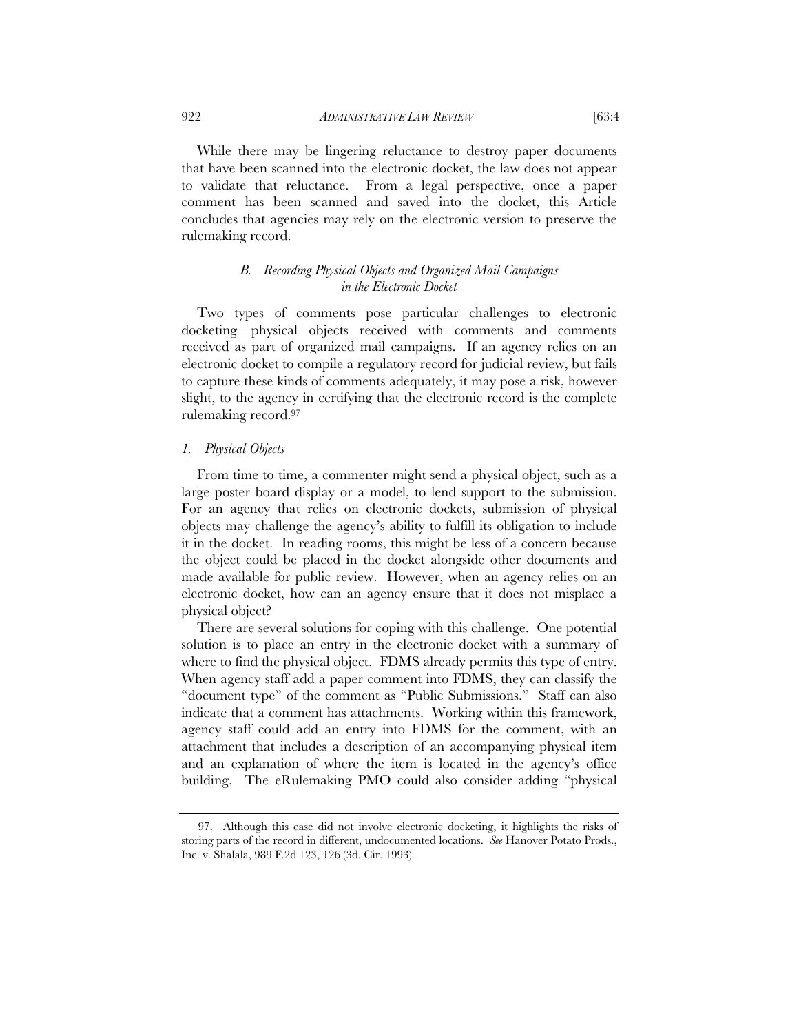922 *ADMINISTRATIVE LAW REVIEW* [63:4

While there may be lingering reluctance to destroy paper documents that have been scanned into the electronic docket, the law does not appear to validate that reluctance. From a legal perspective, once a paper comment has been scanned and saved into the docket, this Article concludes that agencies may rely on the electronic version to preserve the rulemaking record.

# *B. Recording Physical Objects and Organized Mail Campaigns in the Electronic Docket*

Two types of comments pose particular challenges to electronic docketing—physical objects received with comments and comments received as part of organized mail campaigns. If an agency relies on an electronic docket to compile a regulatory record for judicial review, but fails to capture these kinds of comments adequately, it may pose a risk, however slight, to the agency in certifying that the electronic record is the complete rulemaking record.97

# *1. Physical Objects*

From time to time, a commenter might send a physical object, such as a large poster board display or a model, to lend support to the submission. For an agency that relies on electronic dockets, submission of physical objects may challenge the agency's ability to fulfill its obligation to include it in the docket. In reading rooms, this might be less of a concern because the object could be placed in the docket alongside other documents and made available for public review. However, when an agency relies on an electronic docket, how can an agency ensure that it does not misplace a physical object?

There are several solutions for coping with this challenge. One potential solution is to place an entry in the electronic docket with a summary of where to find the physical object. FDMS already permits this type of entry. When agency staff add a paper comment into FDMS, they can classify the "document type" of the comment as "Public Submissions." Staff can also indicate that a comment has attachments. Working within this framework, agency staff could add an entry into FDMS for the comment, with an attachment that includes a description of an accompanying physical item and an explanation of where the item is located in the agency's office building. The eRulemaking PMO could also consider adding "physical

<sup>97.</sup> Although this case did not involve electronic docketing, it highlights the risks of storing parts of the record in different, undocumented locations. *See* Hanover Potato Prods., Inc. v. Shalala, 989 F.2d 123, 126 (3d. Cir. 1993).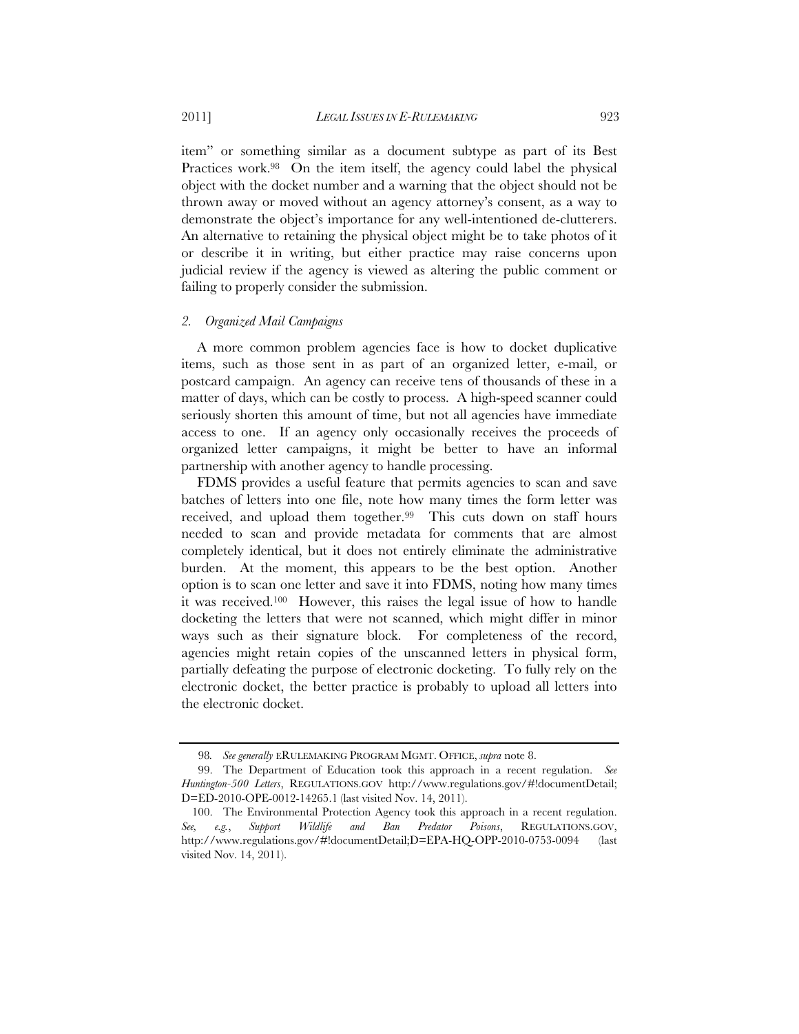item" or something similar as a document subtype as part of its Best Practices work.98 On the item itself, the agency could label the physical object with the docket number and a warning that the object should not be thrown away or moved without an agency attorney's consent, as a way to demonstrate the object's importance for any well-intentioned de-clutterers. An alternative to retaining the physical object might be to take photos of it or describe it in writing, but either practice may raise concerns upon judicial review if the agency is viewed as altering the public comment or failing to properly consider the submission.

#### *2. Organized Mail Campaigns*

A more common problem agencies face is how to docket duplicative items, such as those sent in as part of an organized letter, e-mail, or postcard campaign. An agency can receive tens of thousands of these in a matter of days, which can be costly to process. A high-speed scanner could seriously shorten this amount of time, but not all agencies have immediate access to one. If an agency only occasionally receives the proceeds of organized letter campaigns, it might be better to have an informal partnership with another agency to handle processing.

FDMS provides a useful feature that permits agencies to scan and save batches of letters into one file, note how many times the form letter was received, and upload them together.99 This cuts down on staff hours needed to scan and provide metadata for comments that are almost completely identical, but it does not entirely eliminate the administrative burden. At the moment, this appears to be the best option. Another option is to scan one letter and save it into FDMS, noting how many times it was received.100 However, this raises the legal issue of how to handle docketing the letters that were not scanned, which might differ in minor ways such as their signature block. For completeness of the record, agencies might retain copies of the unscanned letters in physical form, partially defeating the purpose of electronic docketing. To fully rely on the electronic docket, the better practice is probably to upload all letters into the electronic docket.

<sup>98</sup>*. See generally* ERULEMAKING PROGRAM MGMT. OFFICE, *supra* note 8.

<sup>99.</sup> The Department of Education took this approach in a recent regulation. *See Huntington-500 Letters*, REGULATIONS.GOV http://www.regulations.gov/#!documentDetail; D=ED-2010-OPE-0012-14265.1 (last visited Nov. 14, 2011).

 <sup>100.</sup> The Environmental Protection Agency took this approach in a recent regulation. *See, e.g.*, *Support Wildlife and Ban Predator Poisons*, REGULATIONS.GOV, http://www.regulations.gov/#!documentDetail;D=EPA-HQ-OPP-2010-0753-0094 (last visited Nov. 14, 2011).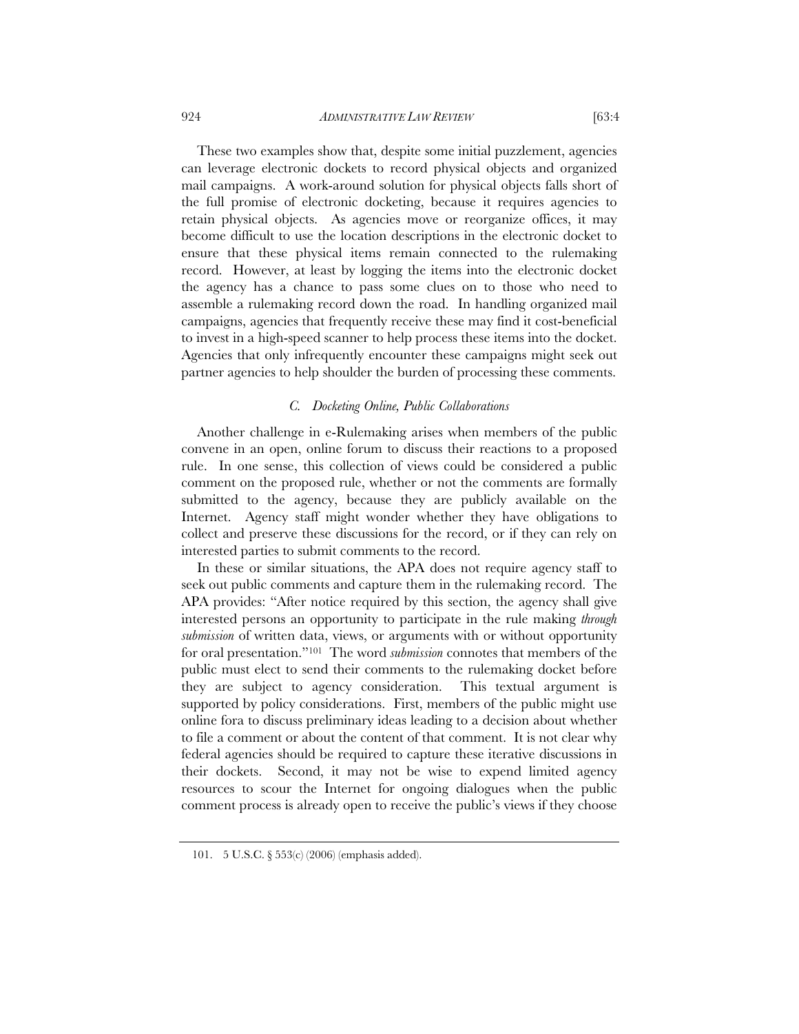924 *ADMINISTRATIVE LAW REVIEW* [63:4

These two examples show that, despite some initial puzzlement, agencies can leverage electronic dockets to record physical objects and organized mail campaigns. A work-around solution for physical objects falls short of the full promise of electronic docketing, because it requires agencies to retain physical objects. As agencies move or reorganize offices, it may become difficult to use the location descriptions in the electronic docket to ensure that these physical items remain connected to the rulemaking record. However, at least by logging the items into the electronic docket the agency has a chance to pass some clues on to those who need to assemble a rulemaking record down the road. In handling organized mail campaigns, agencies that frequently receive these may find it cost-beneficial to invest in a high-speed scanner to help process these items into the docket. Agencies that only infrequently encounter these campaigns might seek out partner agencies to help shoulder the burden of processing these comments.

# *C. Docketing Online, Public Collaborations*

Another challenge in e-Rulemaking arises when members of the public convene in an open, online forum to discuss their reactions to a proposed rule. In one sense, this collection of views could be considered a public comment on the proposed rule, whether or not the comments are formally submitted to the agency, because they are publicly available on the Internet. Agency staff might wonder whether they have obligations to collect and preserve these discussions for the record, or if they can rely on interested parties to submit comments to the record.

In these or similar situations, the APA does not require agency staff to seek out public comments and capture them in the rulemaking record. The APA provides: "After notice required by this section, the agency shall give interested persons an opportunity to participate in the rule making *through submission* of written data, views, or arguments with or without opportunity for oral presentation."101 The word *submission* connotes that members of the public must elect to send their comments to the rulemaking docket before they are subject to agency consideration. This textual argument is supported by policy considerations. First, members of the public might use online fora to discuss preliminary ideas leading to a decision about whether to file a comment or about the content of that comment. It is not clear why federal agencies should be required to capture these iterative discussions in their dockets. Second, it may not be wise to expend limited agency resources to scour the Internet for ongoing dialogues when the public comment process is already open to receive the public's views if they choose

<sup>101. 5</sup> U.S.C. § 553(c) (2006) (emphasis added).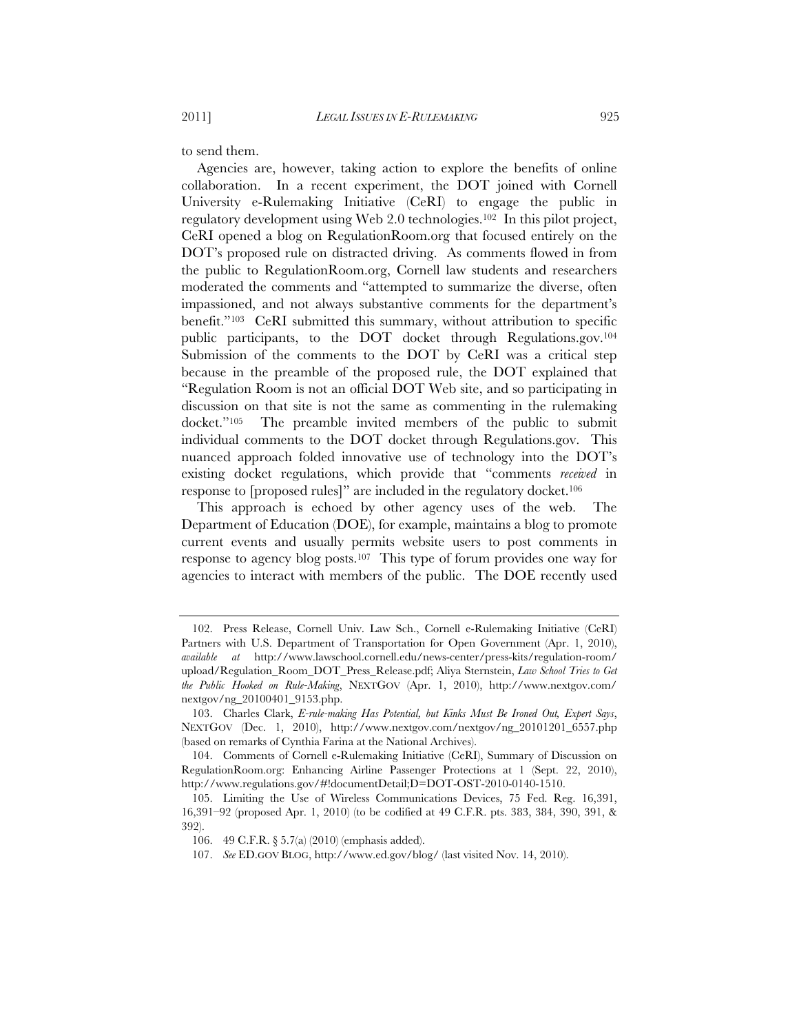to send them.

Agencies are, however, taking action to explore the benefits of online collaboration. In a recent experiment, the DOT joined with Cornell University e-Rulemaking Initiative (CeRI) to engage the public in regulatory development using Web 2.0 technologies.102 In this pilot project, CeRI opened a blog on RegulationRoom.org that focused entirely on the DOT's proposed rule on distracted driving. As comments flowed in from the public to RegulationRoom.org, Cornell law students and researchers moderated the comments and "attempted to summarize the diverse, often impassioned, and not always substantive comments for the department's benefit."103 CeRI submitted this summary, without attribution to specific public participants, to the DOT docket through Regulations.gov.104 Submission of the comments to the DOT by CeRI was a critical step because in the preamble of the proposed rule, the DOT explained that "Regulation Room is not an official DOT Web site, and so participating in discussion on that site is not the same as commenting in the rulemaking docket."105 The preamble invited members of the public to submit individual comments to the DOT docket through Regulations.gov. This nuanced approach folded innovative use of technology into the DOT's existing docket regulations, which provide that "comments *received* in response to [proposed rules]" are included in the regulatory docket.106

This approach is echoed by other agency uses of the web. The Department of Education (DOE), for example, maintains a blog to promote current events and usually permits website users to post comments in response to agency blog posts.107 This type of forum provides one way for agencies to interact with members of the public. The DOE recently used

 <sup>102.</sup> Press Release, Cornell Univ. Law Sch., Cornell e-Rulemaking Initiative (CeRI) Partners with U.S. Department of Transportation for Open Government (Apr. 1, 2010), *available at* http://www.lawschool.cornell.edu/news-center/press-kits/regulation-room/ upload/Regulation\_Room\_DOT\_Press\_Release.pdf; Aliya Sternstein, *Law School Tries to Get the Public Hooked on Rule-Making*, NEXTGOV (Apr. 1, 2010), http://www.nextgov.com/ nextgov/ng\_20100401\_9153.php.

 <sup>103.</sup> Charles Clark, *E-rule-making Has Potential, but Kinks Must Be Ironed Out, Expert Says*, NEXTGOV (Dec. 1, 2010), http://www.nextgov.com/nextgov/ng\_20101201\_6557.php (based on remarks of Cynthia Farina at the National Archives).

 <sup>104.</sup> Comments of Cornell e-Rulemaking Initiative (CeRI), Summary of Discussion on RegulationRoom.org: Enhancing Airline Passenger Protections at 1 (Sept. 22, 2010), http://www.regulations.gov/#!documentDetail;D=DOT-OST-2010-0140-1510.

 <sup>105.</sup> Limiting the Use of Wireless Communications Devices, 75 Fed. Reg. 16,391, 16,391–92 (proposed Apr. 1, 2010) (to be codified at 49 C.F.R. pts. 383, 384, 390, 391, & 392).

<sup>106. 49</sup> C.F.R. § 5.7(a) (2010) (emphasis added).

 <sup>107.</sup> *See* ED.GOV BLOG, http://www.ed.gov/blog/ (last visited Nov. 14, 2010).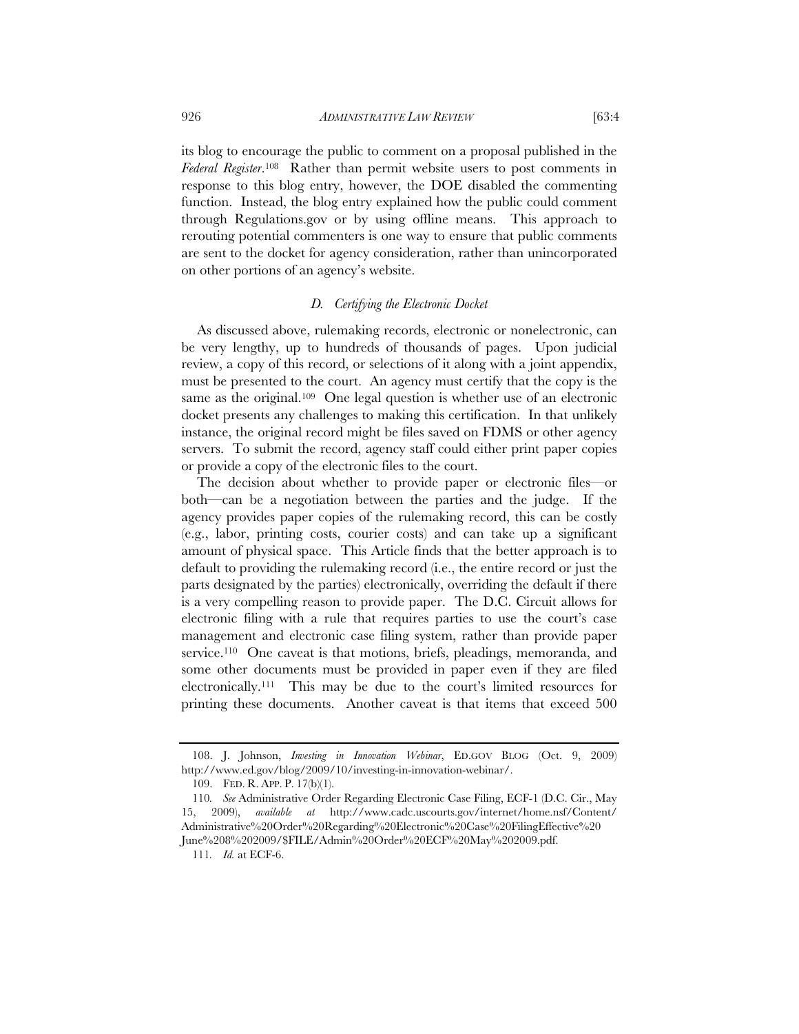its blog to encourage the public to comment on a proposal published in the *Federal Register*.108 Rather than permit website users to post comments in response to this blog entry, however, the DOE disabled the commenting function. Instead, the blog entry explained how the public could comment through Regulations.gov or by using offline means. This approach to rerouting potential commenters is one way to ensure that public comments are sent to the docket for agency consideration, rather than unincorporated on other portions of an agency's website.

# *D. Certifying the Electronic Docket*

As discussed above, rulemaking records, electronic or nonelectronic, can be very lengthy, up to hundreds of thousands of pages. Upon judicial review, a copy of this record, or selections of it along with a joint appendix, must be presented to the court. An agency must certify that the copy is the same as the original.<sup>109</sup> One legal question is whether use of an electronic docket presents any challenges to making this certification. In that unlikely instance, the original record might be files saved on FDMS or other agency servers. To submit the record, agency staff could either print paper copies or provide a copy of the electronic files to the court.

The decision about whether to provide paper or electronic files—or both—can be a negotiation between the parties and the judge. If the agency provides paper copies of the rulemaking record, this can be costly (e.g., labor, printing costs, courier costs) and can take up a significant amount of physical space. This Article finds that the better approach is to default to providing the rulemaking record (i.e., the entire record or just the parts designated by the parties) electronically, overriding the default if there is a very compelling reason to provide paper. The D.C. Circuit allows for electronic filing with a rule that requires parties to use the court's case management and electronic case filing system, rather than provide paper service.<sup>110</sup> One caveat is that motions, briefs, pleadings, memoranda, and some other documents must be provided in paper even if they are filed electronically.111 This may be due to the court's limited resources for printing these documents. Another caveat is that items that exceed 500

 <sup>108.</sup> J. Johnson, *Investing in Innovation Webinar*, ED.GOV BLOG (Oct. 9, 2009) http://www.ed.gov/blog/2009/10/investing-in-innovation-webinar/.

 <sup>109.</sup> FED. R. APP. P. 17(b)(1).

<sup>110</sup>*. See* Administrative Order Regarding Electronic Case Filing, ECF-1 (D.C. Cir., May 15, 2009), *available at* http://www.cadc.uscourts.gov/internet/home.nsf/Content/ Administrative%20Order%20Regarding%20Electronic%20Case%20FilingEffective%20 June%208%202009/\$FILE/Admin%20Order%20ECF%20May%202009.pdf.

<sup>111</sup>*. Id.* at ECF-6.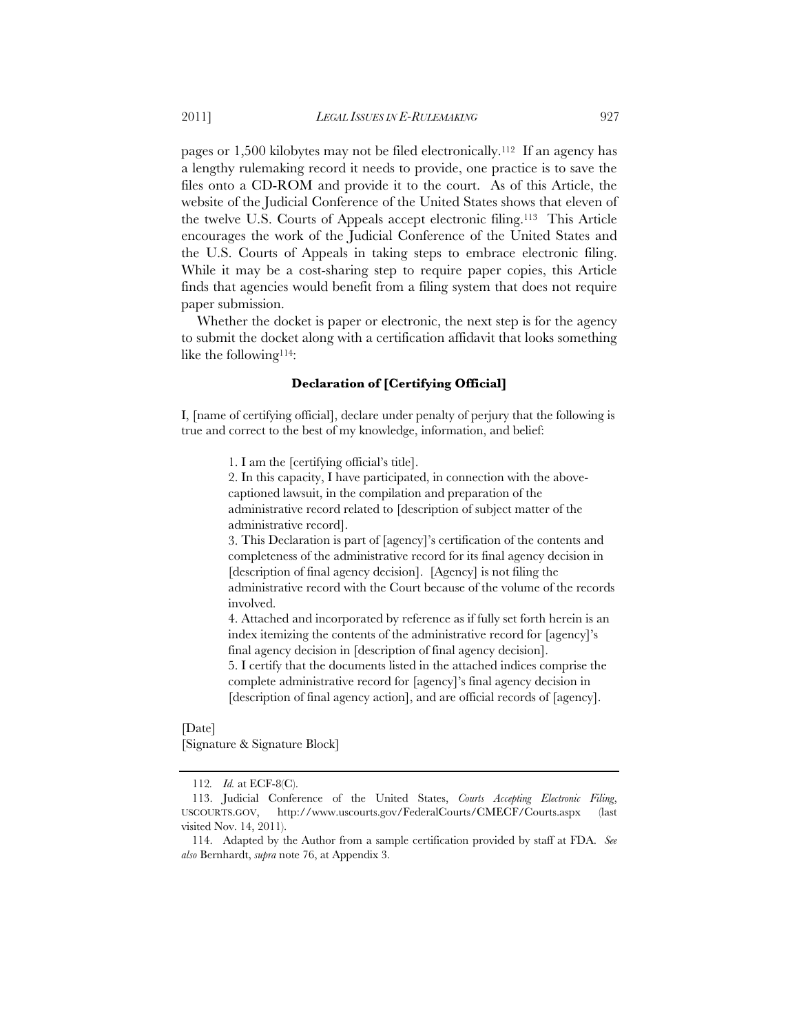pages or 1,500 kilobytes may not be filed electronically.112 If an agency has a lengthy rulemaking record it needs to provide, one practice is to save the files onto a CD-ROM and provide it to the court. As of this Article, the website of the Judicial Conference of the United States shows that eleven of the twelve U.S. Courts of Appeals accept electronic filing.113 This Article encourages the work of the Judicial Conference of the United States and the U.S. Courts of Appeals in taking steps to embrace electronic filing. While it may be a cost-sharing step to require paper copies, this Article finds that agencies would benefit from a filing system that does not require paper submission.

Whether the docket is paper or electronic, the next step is for the agency to submit the docket along with a certification affidavit that looks something like the following<sup>114</sup>:

# **Declaration of [Certifying Official]**

I, [name of certifying official], declare under penalty of perjury that the following is true and correct to the best of my knowledge, information, and belief:

1. I am the [certifying official's title].

2. In this capacity, I have participated, in connection with the abovecaptioned lawsuit, in the compilation and preparation of the administrative record related to [description of subject matter of the administrative record].

3. This Declaration is part of [agency]'s certification of the contents and completeness of the administrative record for its final agency decision in [description of final agency decision]. [Agency] is not filing the administrative record with the Court because of the volume of the records involved.

4. Attached and incorporated by reference as if fully set forth herein is an index itemizing the contents of the administrative record for [agency]'s final agency decision in [description of final agency decision].

5. I certify that the documents listed in the attached indices comprise the complete administrative record for [agency]'s final agency decision in [description of final agency action], and are official records of [agency].

[Date] [Signature & Signature Block]

<sup>112</sup>*. Id.* at ECF-8(C).

<sup>113.</sup> Judicial Conference of the United States, *Courts Accepting Electronic Filing*, USCOURTS.GOV, http://www.uscourts.gov/FederalCourts/CMECF/Courts.aspx (last visited Nov. 14, 2011).

<sup>114.</sup> Adapted by the Author from a sample certification provided by staff at FDA. *See also* Bernhardt, *supra* note 76, at Appendix 3.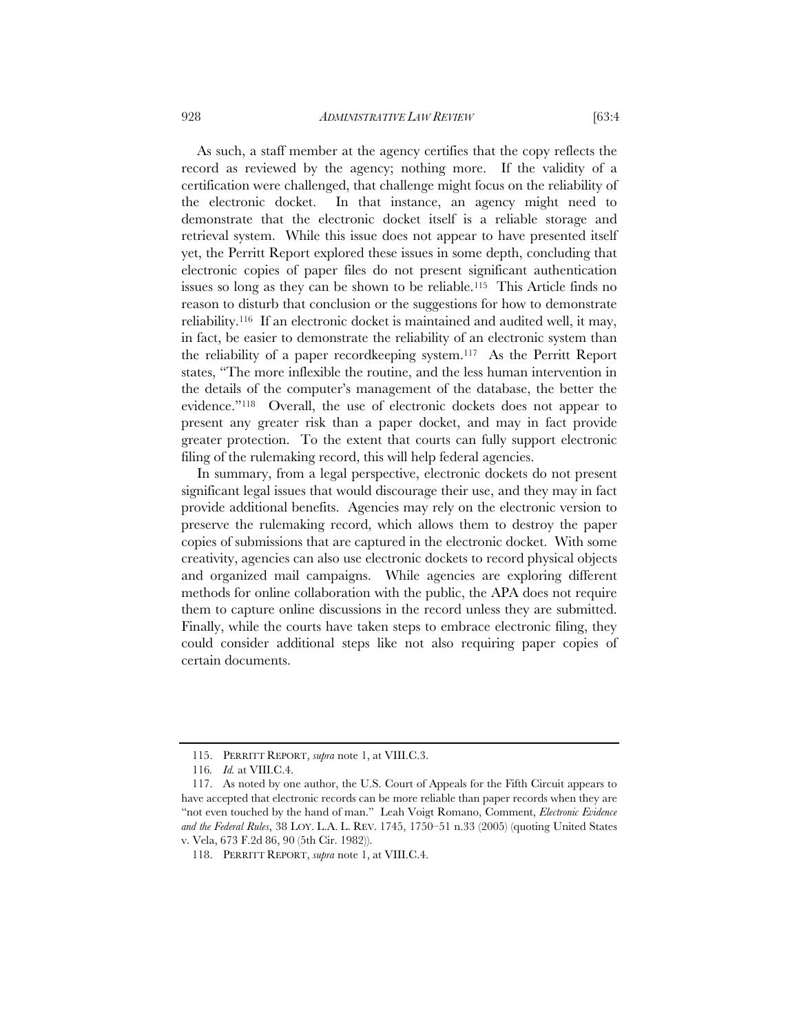928 *ADMINISTRATIVE LAW REVIEW* [63:4

As such, a staff member at the agency certifies that the copy reflects the record as reviewed by the agency; nothing more. If the validity of a certification were challenged, that challenge might focus on the reliability of the electronic docket. In that instance, an agency might need to demonstrate that the electronic docket itself is a reliable storage and retrieval system. While this issue does not appear to have presented itself yet, the Perritt Report explored these issues in some depth, concluding that electronic copies of paper files do not present significant authentication issues so long as they can be shown to be reliable.115 This Article finds no reason to disturb that conclusion or the suggestions for how to demonstrate reliability.116 If an electronic docket is maintained and audited well, it may, in fact, be easier to demonstrate the reliability of an electronic system than the reliability of a paper recordkeeping system.117 As the Perritt Report states, "The more inflexible the routine, and the less human intervention in the details of the computer's management of the database, the better the evidence."118 Overall, the use of electronic dockets does not appear to present any greater risk than a paper docket, and may in fact provide greater protection. To the extent that courts can fully support electronic filing of the rulemaking record, this will help federal agencies.

In summary, from a legal perspective, electronic dockets do not present significant legal issues that would discourage their use, and they may in fact provide additional benefits. Agencies may rely on the electronic version to preserve the rulemaking record, which allows them to destroy the paper copies of submissions that are captured in the electronic docket. With some creativity, agencies can also use electronic dockets to record physical objects and organized mail campaigns. While agencies are exploring different methods for online collaboration with the public, the APA does not require them to capture online discussions in the record unless they are submitted. Finally, while the courts have taken steps to embrace electronic filing, they could consider additional steps like not also requiring paper copies of certain documents.

 <sup>115.</sup> PERRITT REPORT, *supra* note 1, at VIII.C.3.

<sup>116</sup>*. Id.* at VIII.C.4.

 <sup>117.</sup> As noted by one author, the U.S. Court of Appeals for the Fifth Circuit appears to have accepted that electronic records can be more reliable than paper records when they are "not even touched by the hand of man." Leah Voigt Romano, Comment, *Electronic Evidence and the Federal Rules*, 38 LOY. L.A. L. REV. 1745, 1750–51 n.33 (2005) (quoting United States v. Vela, 673 F.2d 86, 90 (5th Cir. 1982)).

 <sup>118.</sup> PERRITT REPORT, *supra* note 1, at VIII.C.4.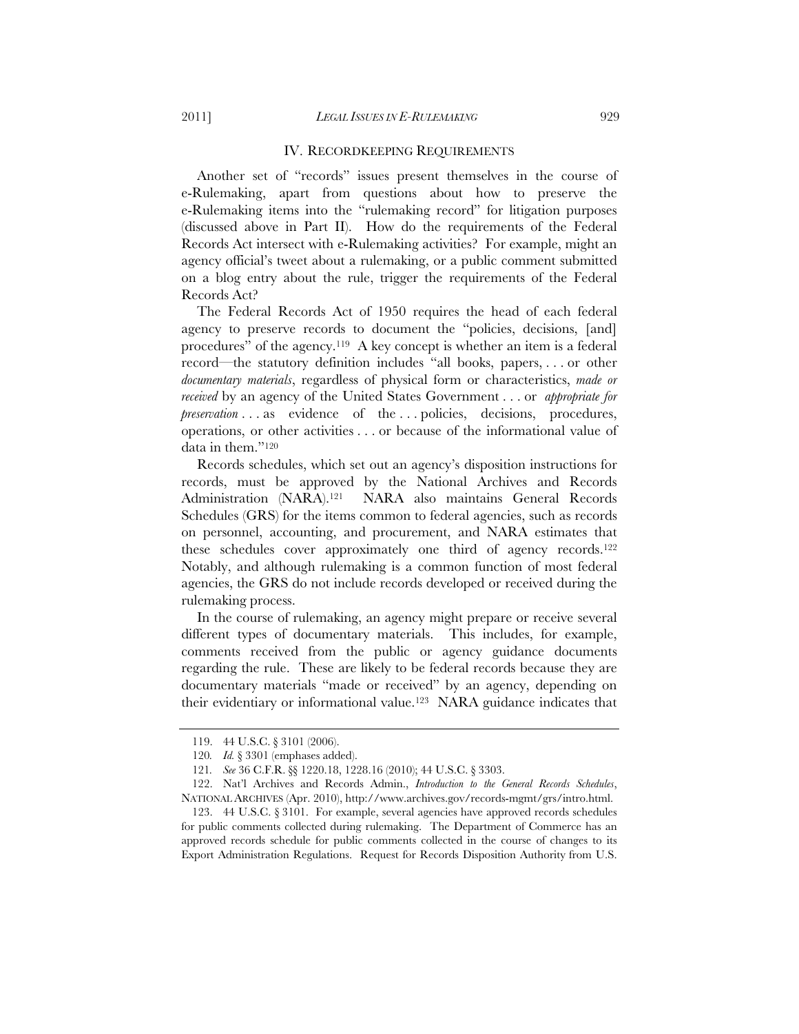#### IV. RECORDKEEPING REQUIREMENTS

Another set of "records" issues present themselves in the course of e-Rulemaking, apart from questions about how to preserve the e-Rulemaking items into the "rulemaking record" for litigation purposes (discussed above in Part II). How do the requirements of the Federal Records Act intersect with e-Rulemaking activities? For example, might an agency official's tweet about a rulemaking, or a public comment submitted on a blog entry about the rule, trigger the requirements of the Federal Records Act?

The Federal Records Act of 1950 requires the head of each federal agency to preserve records to document the "policies, decisions, [and] procedures" of the agency.119 A key concept is whether an item is a federal record—the statutory definition includes "all books, papers, . . . or other *documentary materials*, regardless of physical form or characteristics, *made or received* by an agency of the United States Government . . . or *appropriate for preservation* . . . as evidence of the . . . policies, decisions, procedures, operations, or other activities . . . or because of the informational value of data in them."120

Records schedules, which set out an agency's disposition instructions for records, must be approved by the National Archives and Records Administration (NARA).121 NARA also maintains General Records Schedules (GRS) for the items common to federal agencies, such as records on personnel, accounting, and procurement, and NARA estimates that these schedules cover approximately one third of agency records.122 Notably, and although rulemaking is a common function of most federal agencies, the GRS do not include records developed or received during the rulemaking process.

In the course of rulemaking, an agency might prepare or receive several different types of documentary materials. This includes, for example, comments received from the public or agency guidance documents regarding the rule. These are likely to be federal records because they are documentary materials "made or received" by an agency, depending on their evidentiary or informational value.123 NARA guidance indicates that

<sup>119. 44</sup> U.S.C. § 3101 (2006).

<sup>120</sup>*. Id.* § 3301 (emphases added).

<sup>121</sup>*. See* 36 C.F.R. §§ 1220.18, 1228.16 (2010); 44 U.S.C. § 3303.

<sup>122.</sup> Nat'l Archives and Records Admin., *Introduction to the General Records Schedules*, NATIONAL ARCHIVES (Apr. 2010), http://www.archives.gov/records-mgmt/grs/intro.html.

 <sup>123. 44</sup> U.S.C. § 3101. For example, several agencies have approved records schedules for public comments collected during rulemaking. The Department of Commerce has an approved records schedule for public comments collected in the course of changes to its Export Administration Regulations. Request for Records Disposition Authority from U.S.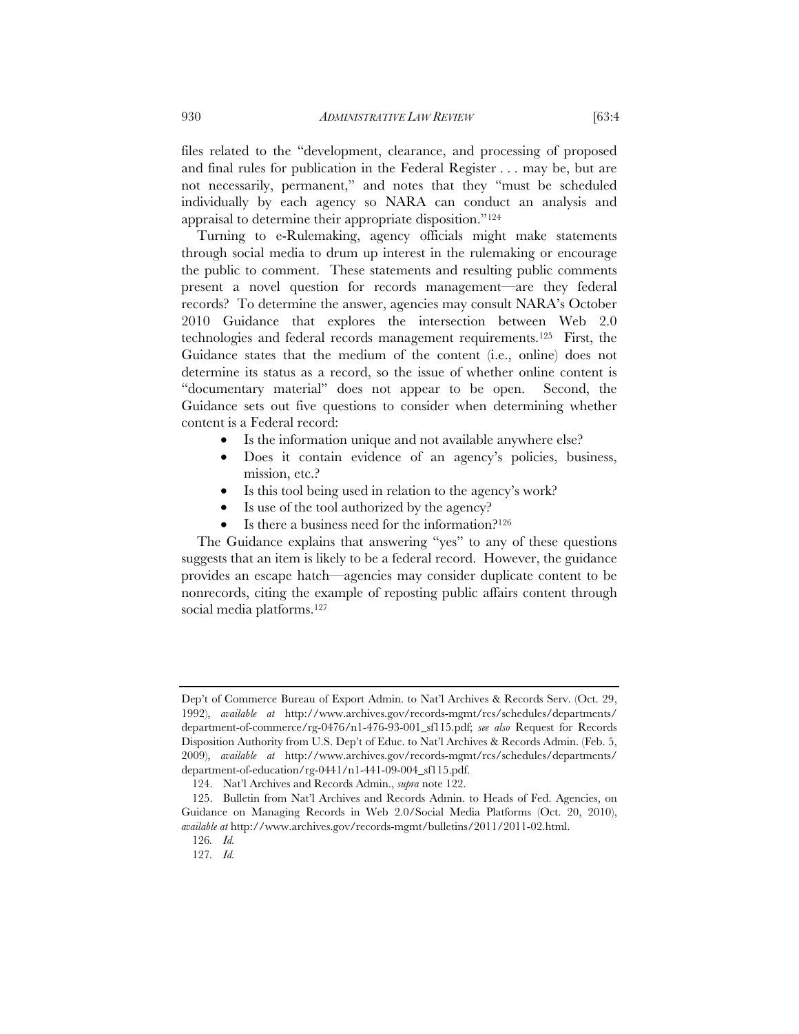files related to the "development, clearance, and processing of proposed and final rules for publication in the Federal Register . . . may be, but are not necessarily, permanent," and notes that they "must be scheduled individually by each agency so NARA can conduct an analysis and appraisal to determine their appropriate disposition."124

Turning to e-Rulemaking, agency officials might make statements through social media to drum up interest in the rulemaking or encourage the public to comment. These statements and resulting public comments present a novel question for records management—are they federal records? To determine the answer, agencies may consult NARA's October 2010 Guidance that explores the intersection between Web 2.0 technologies and federal records management requirements.125 First, the Guidance states that the medium of the content (i.e., online) does not determine its status as a record, so the issue of whether online content is "documentary material" does not appear to be open. Second, the Guidance sets out five questions to consider when determining whether content is a Federal record:

- Is the information unique and not available anywhere else?
- Does it contain evidence of an agency's policies, business, mission, etc.?
- Is this tool being used in relation to the agency's work?
- Is use of the tool authorized by the agency?
- Is there a business need for the information?126

The Guidance explains that answering "yes" to any of these questions suggests that an item is likely to be a federal record. However, the guidance provides an escape hatch—agencies may consider duplicate content to be nonrecords, citing the example of reposting public affairs content through social media platforms.<sup>127</sup>

Dep't of Commerce Bureau of Export Admin. to Nat'l Archives & Records Serv. (Oct. 29, 1992), *available at* http://www.archives.gov/records-mgmt/rcs/schedules/departments/ department-of-commerce/rg-0476/n1-476-93-001\_sf115.pdf; *see also* Request for Records Disposition Authority from U.S. Dep't of Educ. to Nat'l Archives & Records Admin. (Feb. 5, 2009), *available at* http://www.archives.gov/records-mgmt/rcs/schedules/departments/ department-of-education/rg-0441/n1-441-09-004\_sf115.pdf.

<sup>124.</sup> Nat'l Archives and Records Admin., *supra* note 122.

 <sup>125.</sup> Bulletin from Nat'l Archives and Records Admin. to Heads of Fed. Agencies, on Guidance on Managing Records in Web 2.0/Social Media Platforms (Oct. 20, 2010), *available at* http://www.archives.gov/records-mgmt/bulletins/2011/2011-02.html.

<sup>126</sup>*. Id.*

<sup>127</sup>*. Id.*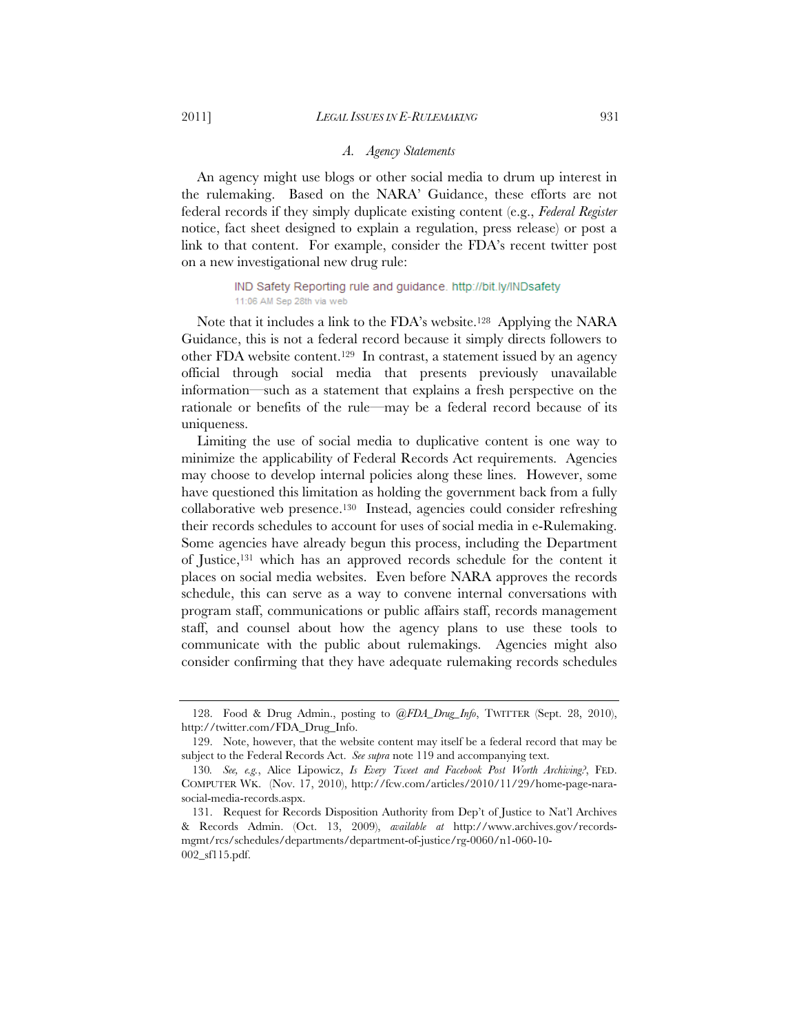#### 2011] *LEGAL ISSUES IN E-RULEMAKING* 931

#### *A. Agency Statements*

An agency might use blogs or other social media to drum up interest in the rulemaking. Based on the NARA' Guidance, these efforts are not federal records if they simply duplicate existing content (e.g., *Federal Register* notice, fact sheet designed to explain a regulation, press release) or post a link to that content. For example, consider the FDA's recent twitter post on a new investigational new drug rule:

> IND Safety Reporting rule and guidance. http://bit.ly/INDsafety 11:06 AM Sep 28th via web

Note that it includes a link to the FDA's website.128 Applying the NARA Guidance, this is not a federal record because it simply directs followers to other FDA website content.129 In contrast, a statement issued by an agency official through social media that presents previously unavailable information—such as a statement that explains a fresh perspective on the rationale or benefits of the rule—may be a federal record because of its uniqueness.

Limiting the use of social media to duplicative content is one way to minimize the applicability of Federal Records Act requirements. Agencies may choose to develop internal policies along these lines. However, some have questioned this limitation as holding the government back from a fully collaborative web presence.130 Instead, agencies could consider refreshing their records schedules to account for uses of social media in e-Rulemaking. Some agencies have already begun this process, including the Department of Justice,131 which has an approved records schedule for the content it places on social media websites. Even before NARA approves the records schedule, this can serve as a way to convene internal conversations with program staff, communications or public affairs staff, records management staff, and counsel about how the agency plans to use these tools to communicate with the public about rulemakings. Agencies might also consider confirming that they have adequate rulemaking records schedules

 <sup>128.</sup> Food & Drug Admin., posting to *@FDA\_Drug\_Info*, TWITTER (Sept. 28, 2010), http://twitter.com/FDA\_Drug\_Info.

 <sup>129.</sup> Note, however, that the website content may itself be a federal record that may be subject to the Federal Records Act. *See supra* note 119 and accompanying text.

<sup>130</sup>*. See, e.g.*, Alice Lipowicz, *Is Every Tweet and Facebook Post Worth Archiving?*, FED. COMPUTER WK. (Nov. 17, 2010), http://fcw.com/articles/2010/11/29/home-page-narasocial-media-records.aspx.

 <sup>131.</sup> Request for Records Disposition Authority from Dep't of Justice to Nat'l Archives & Records Admin. (Oct. 13, 2009), *available at* http://www.archives.gov/recordsmgmt/rcs/schedules/departments/department-of-justice/rg-0060/n1-060-10- 002\_sf115.pdf.